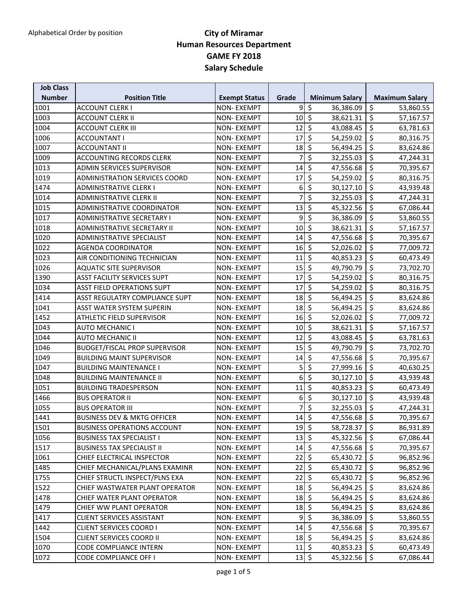| <b>Job Class</b><br><b>Number</b> | <b>Position Title</b>                  | <b>Exempt Status</b> | Grade                     | <b>Minimum Salary</b>                 | <b>Maximum Salary</b>         |
|-----------------------------------|----------------------------------------|----------------------|---------------------------|---------------------------------------|-------------------------------|
| 1001                              | <b>ACCOUNT CLERK I</b>                 | <b>NON-EXEMPT</b>    | 9                         | \$<br>36,386.09                       | \$<br>53,860.55               |
| 1003                              | <b>ACCOUNT CLERK II</b>                | <b>NON-EXEMPT</b>    | 10                        | $\ddot{\varsigma}$<br>38,621.31       | \$<br>57,167.57               |
| 1004                              | <b>ACCOUNT CLERK III</b>               | <b>NON-EXEMPT</b>    | 12                        | $\zeta$<br>43,088.45                  | $\zeta$<br>63,781.63          |
| 1006                              | <b>ACCOUNTANT I</b>                    | <b>NON-EXEMPT</b>    | 17                        | $\overline{\mathcal{S}}$<br>54,259.02 | \$<br>80,316.75               |
| 1007                              | <b>ACCOUNTANT II</b>                   | <b>NON-EXEMPT</b>    | 18                        | $\zeta$<br>56,494.25                  | \$<br>83,624.86               |
| 1009                              | <b>ACCOUNTING RECORDS CLERK</b>        | <b>NON-EXEMPT</b>    | 7                         | \$<br>32,255.03                       | \$<br>47,244.31               |
| 1013                              | ADMIN SERVICES SUPERVISOR              | <b>NON-EXEMPT</b>    | 14                        | $\zeta$<br>47,556.68                  | \$<br>70,395.67               |
| 1019                              | ADMINISTRATION SERVICES COORD          | <b>NON-EXEMPT</b>    | 17                        | \$<br>54,259.02                       | \$<br>80,316.75               |
| 1474                              | <b>ADMINISTRATIVE CLERK I</b>          | <b>NON-EXEMPT</b>    | 6                         | $\overline{\mathcal{S}}$<br>30,127.10 | $\zeta$<br>43,939.48          |
| 1014                              | <b>ADMINISTRATIVE CLERK II</b>         | <b>NON-EXEMPT</b>    | 7                         | $\overline{\xi}$<br>32,255.03         | \$<br>47,244.31               |
| 1015                              | ADMINISTRATIVE COORDINATOR             | <b>NON-EXEMPT</b>    | 13                        | \$<br>45,322.56                       | \$<br>67,086.44               |
| 1017                              | ADMINISTRATIVE SECRETARY I             | NON-EXEMPT           | 9                         | \$<br>36,386.09                       | \$<br>53,860.55               |
| 1018                              | <b>ADMINISTRATIVE SECRETARY II</b>     | <b>NON-EXEMPT</b>    | 10                        | $\zeta$<br>38,621.31                  | \$<br>57,167.57               |
| 1020                              | <b>ADMINISTRATIVE SPECIALIST</b>       | <b>NON-EXEMPT</b>    | 14                        | $\vert \mathsf{S} \vert$<br>47,556.68 | \$<br>70,395.67               |
| 1022                              | <b>AGENDA COORDINATOR</b>              | <b>NON-EXEMPT</b>    | 16                        | $\overline{\phantom{a}}$<br>52,026.02 | \$<br>77,009.72               |
| 1023                              | AIR CONDITIONING TECHNICIAN            | <b>NON-EXEMPT</b>    | 11                        | $\zeta$<br>40,853.23                  | \$<br>60,473.49               |
| 1026                              | <b>AQUATIC SITE SUPERVISOR</b>         | <b>NON-EXEMPT</b>    | 15                        | $\zeta$<br>49,790.79                  | \$<br>73,702.70               |
| 1390                              | <b>ASST FACILITY SERVICES SUPT</b>     | <b>NON-EXEMPT</b>    | 17                        | \$<br>54,259.02                       | \$<br>80,316.75               |
| 1034                              | <b>ASST FIELD OPERATIONS SUPT</b>      | <b>NON-EXEMPT</b>    | 17                        | $\overline{\mathcal{S}}$<br>54,259.02 | \$<br>80,316.75               |
| 1414                              | ASST REGULATRY COMPLIANCE SUPT         | <b>NON-EXEMPT</b>    | 18                        | $\overline{\phantom{0}}$<br>56,494.25 | \$<br>83,624.86               |
| 1041                              | <b>ASST WATER SYSTEM SUPERIN</b>       | <b>NON-EXEMPT</b>    | $18$ \$                   | 56,494.25                             | \$<br>83,624.86               |
| 1452                              | <b>ATHLETIC FIELD SUPERVISOR</b>       | <b>NON-EXEMPT</b>    | 16                        | $\overline{\varsigma}$<br>52,026.02   | $\zeta$<br>77,009.72          |
| 1043                              | <b>AUTO MECHANIC I</b>                 | <b>NON-EXEMPT</b>    | 10                        | $\zeta$<br>38,621.31                  | \$<br>57,167.57               |
| 1044                              | <b>AUTO MECHANIC II</b>                | <b>NON-EXEMPT</b>    | 12                        | $\zeta$<br>43,088.45                  | \$<br>63,781.63               |
| 1046                              | <b>BUDGET/FISCAL PROP SUPERVISOR</b>   | <b>NON-EXEMPT</b>    | 15                        | $\zeta$<br>49,790.79                  | \$<br>73,702.70               |
| 1049                              | <b>BUILDING MAINT SUPERVISOR</b>       | <b>NON-EXEMPT</b>    | 14                        | $\overline{\mathcal{S}}$<br>47,556.68 | \$<br>70,395.67               |
| 1047                              | <b>BUILDING MAINTENANCE I</b>          | <b>NON-EXEMPT</b>    | 5                         | \$<br>27,999.16                       | \$<br>40,630.25               |
| 1048                              | <b>BUILDING MAINTENANCE II</b>         | <b>NON-EXEMPT</b>    | 6                         | $\overline{\mathcal{S}}$<br>30,127.10 | \$<br>43,939.48               |
| 1051                              | <b>BUILDING TRADESPERSON</b>           | <b>NON-EXEMPT</b>    | 11                        | \$<br>40,853.23                       | \$<br>60,473.49               |
| 1466                              | <b>BUS OPERATOR II</b>                 | <b>NON-EXEMPT</b>    | 6                         | $\zeta$<br>30,127.10                  | \$<br>43,939.48               |
| 1055                              | <b>BUS OPERATOR III</b>                | <b>NON-EXEMPT</b>    |                           | $\zeta$<br>32,255.03                  | \$<br>47,244.31               |
| 1441                              | <b>BUSINESS DEV &amp; MKTG OFFICER</b> | <b>NON-EXEMPT</b>    | 14                        | $\ddot{\varsigma}$<br>47,556.68       | \$<br>70,395.67               |
| 1501                              | <b>BUSINESS OPERATIONS ACCOUNT</b>     | NON-EXEMPT           | $19$ \$                   | 58,728.37                             | $\overline{\xi}$<br>86,931.89 |
| 1056                              | <b>BUSINESS TAX SPECIALIST I</b>       | <b>NON-EXEMPT</b>    | $13 \mid 5$               | 45,322.56                             | \$<br>67,086.44               |
| 1517                              | <b>BUSINESS TAX SPECIALIST II</b>      | <b>NON-EXEMPT</b>    | $14 \overline{\smash{5}}$ | 47,556.68                             | \$<br>70,395.67               |
| 1061                              | CHIEF ELECTRICAL INSPECTOR             | <b>NON-EXEMPT</b>    | $22 \mid 5$               | 65,430.72                             | \$<br>96,852.96               |
| 1485                              | CHIEF MECHANICAL/PLANS EXAMINR         | <b>NON-EXEMPT</b>    | $22 \mid 5$               | 65,430.72                             | \$<br>96,852.96               |
| 1755                              | CHIEF STRUCTL INSPECT/PLNS EXA         | <b>NON-EXEMPT</b>    | $22 \mid 5$               | 65,430.72                             | \$<br>96,852.96               |
| 1522                              | CHIEF WASTWATER PLANT OPERATOR         | NON-EXEMPT           | $18$ \$                   | 56,494.25                             | \$<br>83,624.86               |
| 1478                              | CHIEF WATER PLANT OPERATOR             | NON-EXEMPT           | $18$ \$                   | 56,494.25                             | \$<br>83,624.86               |
| 1479                              | CHIEF WW PLANT OPERATOR                | <b>NON-EXEMPT</b>    | $18$ \$                   | 56,494.25                             | \$<br>83,624.86               |
| 1417                              | <b>CLIENT SERVICES ASSISTANT</b>       | NON-EXEMPT           |                           | $9$ \$<br>36,386.09                   | $\zeta$<br>53,860.55          |
| 1442                              | <b>CLIENT SERVICES COORD I</b>         | <b>NON-EXEMPT</b>    | $14$ \$                   | 47,556.68                             | \$<br>70,395.67               |
| 1504                              | <b>CLIENT SERVICES COORD II</b>        | NON-EXEMPT           | $18$ \$                   | 56,494.25                             | \$<br>83,624.86               |
| 1070                              | CODE COMPLIANCE INTERN                 | NON-EXEMPT           | $11 \mid \xi$             | 40,853.23                             | \$<br>60,473.49               |
| 1072                              | <b>CODE COMPLIANCE OFF I</b>           | <b>NON-EXEMPT</b>    | $13 \mid 5$               | 45,322.56                             | \$<br>67,086.44               |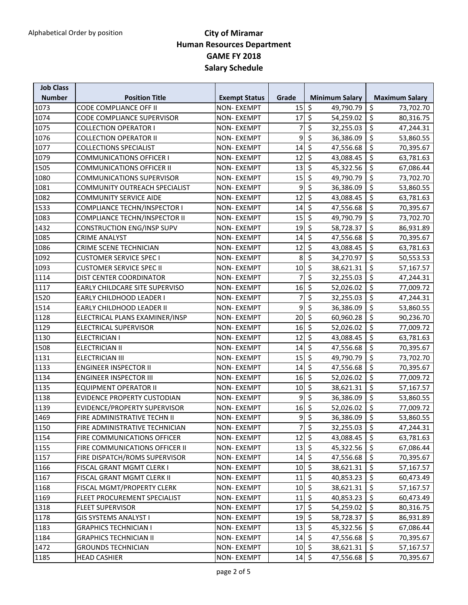| <b>Number</b><br><b>Position Title</b><br><b>Exempt Status</b><br>Grade<br><b>Minimum Salary</b><br><b>Maximum Salary</b><br>$\zeta$<br>\$<br>1073<br>CODE COMPLIANCE OFF II<br><b>NON-EXEMPT</b><br>15<br>49,790.79<br>73,702.70<br>$\zeta$<br>\$<br>1074<br><b>NON-EXEMPT</b><br>17<br><b>CODE COMPLIANCE SUPERVISOR</b><br>54,259.02<br>80,316.75<br>$\overline{\mathcal{S}}$<br>\$<br>1075<br><b>COLLECTION OPERATOR I</b><br><b>NON-EXEMPT</b><br>7<br>32,255.03<br>47,244.31<br>\$<br>\$<br>1076<br>9<br><b>COLLECTION OPERATOR II</b><br>36,386.09<br>53,860.55<br><b>NON-EXEMPT</b><br>$\zeta$<br>\$<br>14<br>1077<br><b>COLLECTIONS SPECIALIST</b><br><b>NON-EXEMPT</b><br>47,556.68<br>70,395.67<br>\$<br>$\zeta$<br>12<br>1079<br><b>COMMUNICATIONS OFFICER I</b><br><b>NON-EXEMPT</b><br>43,088.45<br>63,781.63<br>\$<br>\$<br>1505<br>13<br><b>COMMUNICATIONS OFFICER II</b><br><b>NON-EXEMPT</b><br>45,322.56<br>67,086.44<br>$\zeta$<br>\$<br>1080<br>15<br><b>COMMUNICATIONS SUPERVISOR</b><br><b>NON-EXEMPT</b><br>49,790.79<br>73,702.70<br>$\overline{\mathcal{S}}$<br>\$<br>1081<br>9<br>COMMUNITY OUTREACH SPECIALIST<br><b>NON-EXEMPT</b><br>36,386.09<br>53,860.55<br>$\overline{\mathcal{S}}$<br>\$<br>12<br>1082<br><b>COMMUNITY SERVICE AIDE</b><br>43,088.45<br><b>NON-EXEMPT</b><br>63,781.63<br>$\overline{\mathcal{S}}$<br>\$<br>14<br>1533<br>47,556.68<br>COMPLIANCE TECHN/INSPECTOR I<br><b>NON-EXEMPT</b><br>70,395.67<br>$\zeta$<br>\$<br>15<br>1083<br>COMPLIANCE TECHN/INSPECTOR II<br>NON-EXEMPT<br>49,790.79<br>73,702.70<br>\$<br>\$<br>1432<br><b>CONSTRUCTION ENG/INSP SUPV</b><br>19<br><b>NON-EXEMPT</b><br>58,728.37<br>86,931.89<br>$\zeta$<br>\$<br>1085<br>14<br><b>CRIME ANALYST</b><br><b>NON-EXEMPT</b><br>47,556.68<br>70,395.67<br>\$<br>\$<br>1086<br>12<br>CRIME SCENE TECHNICIAN<br>43,088.45<br>63,781.63<br><b>NON-EXEMPT</b><br>$\overline{\mathcal{S}}$<br>\$<br>8<br>1092<br><b>CUSTOMER SERVICE SPEC I</b><br><b>NON-EXEMPT</b><br>34,270.97<br>50,553.53<br>$\zeta$<br>\$<br>10<br>1093<br><b>CUSTOMER SERVICE SPEC II</b><br><b>NON-EXEMPT</b><br>38,621.31<br>57,167.57<br>\$<br>\$<br>1114<br>DIST CENTER COORDINATOR<br><b>NON-EXEMPT</b><br>7<br>32,255.03<br>47,244.31<br>$\zeta$<br>\$<br>1117<br>EARLY CHILDCARE SITE SUPERVISO<br><b>NON-EXEMPT</b><br>16<br>52,026.02<br>77,009.72<br>\$<br>\$<br>1520<br>7<br>EARLY CHILDHOOD LEADER I<br><b>NON-EXEMPT</b><br>32,255.03<br>47,244.31<br>\$<br>\$<br>9<br>1514<br>EARLY CHILDHOOD LEADER II<br>36,386.09<br>53,860.55<br><b>NON-EXEMPT</b><br>$\overline{\mathcal{S}}$<br>\$<br>20<br>1128<br>ELECTRICAL PLANS EXAMINER/INSP<br><b>NON-EXEMPT</b><br>60,960.28<br>90,236.70<br>\$<br>$\zeta$<br>16<br>1129<br>NON-EXEMPT<br>ELECTRICAL SUPERVISOR<br>52,026.02<br>77,009.72<br>$\zeta$<br>\$<br>1130<br>12<br>ELECTRICIAN I<br><b>NON-EXEMPT</b><br>43,088.45<br>63,781.63<br>$\zeta$<br>\$<br>1508<br>14<br><b>ELECTRICIAN II</b><br><b>NON-EXEMPT</b><br>47,556.68<br>70,395.67<br>$\zeta$<br>\$<br>15<br>49,790.79<br>1131<br><b>ELECTRICIAN III</b><br><b>NON-EXEMPT</b><br>73,702.70<br>$\overline{\mathcal{S}}$<br>\$<br>1133<br>14<br>47,556.68<br><b>ENGINEER INSPECTOR II</b><br><b>NON-EXEMPT</b><br>70,395.67<br>$\overline{\mathcal{S}}$<br>\$<br>1134<br>16<br><b>ENGINEER INSPECTOR III</b><br>52,026.02<br><b>NON-EXEMPT</b><br>77,009.72<br>$\zeta$<br>\$<br>1135<br>10<br><b>EQUIPMENT OPERATOR II</b><br><b>NON-EXEMPT</b><br>38,621.31<br>57,167.57<br>\$<br>\$<br>9<br>1138<br>EVIDENCE PROPERTY CUSTODIAN<br><b>NON-EXEMPT</b><br>36,386.09<br>53,860.55<br>$\zeta$<br>\$<br>1139<br>EVIDENCE/PROPERTY SUPERVISOR<br>16<br><b>NON-EXEMPT</b><br>52,026.02<br>77,009.72<br>$\zeta$<br>\$<br>9<br>36,386.09<br>1469<br>FIRE ADMINISTRATIVE TECHN II<br>53,860.55<br><b>NON-EXEMPT</b><br>$7\overline{\phantom{0}}$<br>$\overline{\xi}$<br>1150<br>FIRE ADMINISTRATIVE TECHNICIAN<br><b>NON-EXEMPT</b><br>32,255.03<br>47,244.31<br>$\zeta$<br>12<br>\$<br>1154<br><b>NON-EXEMPT</b><br>FIRE COMMUNICATIONS OFFICER<br>43,088.45<br>63,781.63<br>13<br>$\ddot{\mathsf{S}}$<br>1155<br>FIRE COMMUNICATIONS OFFICER II<br>NON-EXEMPT<br>45,322.56<br>\$,<br>67,086.44<br>$14$ \$<br>1157<br>47,556.68<br>\$<br>FIRE DISPATCH/ROMS SUPERVISOR<br>NON-EXEMPT<br>70,395.67 |
|-------------------------------------------------------------------------------------------------------------------------------------------------------------------------------------------------------------------------------------------------------------------------------------------------------------------------------------------------------------------------------------------------------------------------------------------------------------------------------------------------------------------------------------------------------------------------------------------------------------------------------------------------------------------------------------------------------------------------------------------------------------------------------------------------------------------------------------------------------------------------------------------------------------------------------------------------------------------------------------------------------------------------------------------------------------------------------------------------------------------------------------------------------------------------------------------------------------------------------------------------------------------------------------------------------------------------------------------------------------------------------------------------------------------------------------------------------------------------------------------------------------------------------------------------------------------------------------------------------------------------------------------------------------------------------------------------------------------------------------------------------------------------------------------------------------------------------------------------------------------------------------------------------------------------------------------------------------------------------------------------------------------------------------------------------------------------------------------------------------------------------------------------------------------------------------------------------------------------------------------------------------------------------------------------------------------------------------------------------------------------------------------------------------------------------------------------------------------------------------------------------------------------------------------------------------------------------------------------------------------------------------------------------------------------------------------------------------------------------------------------------------------------------------------------------------------------------------------------------------------------------------------------------------------------------------------------------------------------------------------------------------------------------------------------------------------------------------------------------------------------------------------------------------------------------------------------------------------------------------------------------------------------------------------------------------------------------------------------------------------------------------------------------------------------------------------------------------------------------------------------------------------------------------------------------------------------------------------------------------------------------------------------------------------------------------------------------------------------------------------------------------------------------------------------------------------------------------------------------------------------------------------------------------------------------------------------------------------------------------------------------------------------------------------------------------------------------------------------------------------------------------------------------------------------------------------------------------------------------------------------------------------------------------------------------------------|
|                                                                                                                                                                                                                                                                                                                                                                                                                                                                                                                                                                                                                                                                                                                                                                                                                                                                                                                                                                                                                                                                                                                                                                                                                                                                                                                                                                                                                                                                                                                                                                                                                                                                                                                                                                                                                                                                                                                                                                                                                                                                                                                                                                                                                                                                                                                                                                                                                                                                                                                                                                                                                                                                                                                                                                                                                                                                                                                                                                                                                                                                                                                                                                                                                                                                                                                                                                                                                                                                                                                                                                                                                                                                                                                                                                                                                                                                                                                                                                                                                                                                                                                                                                                                                                                                                                                   |
|                                                                                                                                                                                                                                                                                                                                                                                                                                                                                                                                                                                                                                                                                                                                                                                                                                                                                                                                                                                                                                                                                                                                                                                                                                                                                                                                                                                                                                                                                                                                                                                                                                                                                                                                                                                                                                                                                                                                                                                                                                                                                                                                                                                                                                                                                                                                                                                                                                                                                                                                                                                                                                                                                                                                                                                                                                                                                                                                                                                                                                                                                                                                                                                                                                                                                                                                                                                                                                                                                                                                                                                                                                                                                                                                                                                                                                                                                                                                                                                                                                                                                                                                                                                                                                                                                                                   |
|                                                                                                                                                                                                                                                                                                                                                                                                                                                                                                                                                                                                                                                                                                                                                                                                                                                                                                                                                                                                                                                                                                                                                                                                                                                                                                                                                                                                                                                                                                                                                                                                                                                                                                                                                                                                                                                                                                                                                                                                                                                                                                                                                                                                                                                                                                                                                                                                                                                                                                                                                                                                                                                                                                                                                                                                                                                                                                                                                                                                                                                                                                                                                                                                                                                                                                                                                                                                                                                                                                                                                                                                                                                                                                                                                                                                                                                                                                                                                                                                                                                                                                                                                                                                                                                                                                                   |
|                                                                                                                                                                                                                                                                                                                                                                                                                                                                                                                                                                                                                                                                                                                                                                                                                                                                                                                                                                                                                                                                                                                                                                                                                                                                                                                                                                                                                                                                                                                                                                                                                                                                                                                                                                                                                                                                                                                                                                                                                                                                                                                                                                                                                                                                                                                                                                                                                                                                                                                                                                                                                                                                                                                                                                                                                                                                                                                                                                                                                                                                                                                                                                                                                                                                                                                                                                                                                                                                                                                                                                                                                                                                                                                                                                                                                                                                                                                                                                                                                                                                                                                                                                                                                                                                                                                   |
|                                                                                                                                                                                                                                                                                                                                                                                                                                                                                                                                                                                                                                                                                                                                                                                                                                                                                                                                                                                                                                                                                                                                                                                                                                                                                                                                                                                                                                                                                                                                                                                                                                                                                                                                                                                                                                                                                                                                                                                                                                                                                                                                                                                                                                                                                                                                                                                                                                                                                                                                                                                                                                                                                                                                                                                                                                                                                                                                                                                                                                                                                                                                                                                                                                                                                                                                                                                                                                                                                                                                                                                                                                                                                                                                                                                                                                                                                                                                                                                                                                                                                                                                                                                                                                                                                                                   |
|                                                                                                                                                                                                                                                                                                                                                                                                                                                                                                                                                                                                                                                                                                                                                                                                                                                                                                                                                                                                                                                                                                                                                                                                                                                                                                                                                                                                                                                                                                                                                                                                                                                                                                                                                                                                                                                                                                                                                                                                                                                                                                                                                                                                                                                                                                                                                                                                                                                                                                                                                                                                                                                                                                                                                                                                                                                                                                                                                                                                                                                                                                                                                                                                                                                                                                                                                                                                                                                                                                                                                                                                                                                                                                                                                                                                                                                                                                                                                                                                                                                                                                                                                                                                                                                                                                                   |
|                                                                                                                                                                                                                                                                                                                                                                                                                                                                                                                                                                                                                                                                                                                                                                                                                                                                                                                                                                                                                                                                                                                                                                                                                                                                                                                                                                                                                                                                                                                                                                                                                                                                                                                                                                                                                                                                                                                                                                                                                                                                                                                                                                                                                                                                                                                                                                                                                                                                                                                                                                                                                                                                                                                                                                                                                                                                                                                                                                                                                                                                                                                                                                                                                                                                                                                                                                                                                                                                                                                                                                                                                                                                                                                                                                                                                                                                                                                                                                                                                                                                                                                                                                                                                                                                                                                   |
|                                                                                                                                                                                                                                                                                                                                                                                                                                                                                                                                                                                                                                                                                                                                                                                                                                                                                                                                                                                                                                                                                                                                                                                                                                                                                                                                                                                                                                                                                                                                                                                                                                                                                                                                                                                                                                                                                                                                                                                                                                                                                                                                                                                                                                                                                                                                                                                                                                                                                                                                                                                                                                                                                                                                                                                                                                                                                                                                                                                                                                                                                                                                                                                                                                                                                                                                                                                                                                                                                                                                                                                                                                                                                                                                                                                                                                                                                                                                                                                                                                                                                                                                                                                                                                                                                                                   |
|                                                                                                                                                                                                                                                                                                                                                                                                                                                                                                                                                                                                                                                                                                                                                                                                                                                                                                                                                                                                                                                                                                                                                                                                                                                                                                                                                                                                                                                                                                                                                                                                                                                                                                                                                                                                                                                                                                                                                                                                                                                                                                                                                                                                                                                                                                                                                                                                                                                                                                                                                                                                                                                                                                                                                                                                                                                                                                                                                                                                                                                                                                                                                                                                                                                                                                                                                                                                                                                                                                                                                                                                                                                                                                                                                                                                                                                                                                                                                                                                                                                                                                                                                                                                                                                                                                                   |
|                                                                                                                                                                                                                                                                                                                                                                                                                                                                                                                                                                                                                                                                                                                                                                                                                                                                                                                                                                                                                                                                                                                                                                                                                                                                                                                                                                                                                                                                                                                                                                                                                                                                                                                                                                                                                                                                                                                                                                                                                                                                                                                                                                                                                                                                                                                                                                                                                                                                                                                                                                                                                                                                                                                                                                                                                                                                                                                                                                                                                                                                                                                                                                                                                                                                                                                                                                                                                                                                                                                                                                                                                                                                                                                                                                                                                                                                                                                                                                                                                                                                                                                                                                                                                                                                                                                   |
|                                                                                                                                                                                                                                                                                                                                                                                                                                                                                                                                                                                                                                                                                                                                                                                                                                                                                                                                                                                                                                                                                                                                                                                                                                                                                                                                                                                                                                                                                                                                                                                                                                                                                                                                                                                                                                                                                                                                                                                                                                                                                                                                                                                                                                                                                                                                                                                                                                                                                                                                                                                                                                                                                                                                                                                                                                                                                                                                                                                                                                                                                                                                                                                                                                                                                                                                                                                                                                                                                                                                                                                                                                                                                                                                                                                                                                                                                                                                                                                                                                                                                                                                                                                                                                                                                                                   |
|                                                                                                                                                                                                                                                                                                                                                                                                                                                                                                                                                                                                                                                                                                                                                                                                                                                                                                                                                                                                                                                                                                                                                                                                                                                                                                                                                                                                                                                                                                                                                                                                                                                                                                                                                                                                                                                                                                                                                                                                                                                                                                                                                                                                                                                                                                                                                                                                                                                                                                                                                                                                                                                                                                                                                                                                                                                                                                                                                                                                                                                                                                                                                                                                                                                                                                                                                                                                                                                                                                                                                                                                                                                                                                                                                                                                                                                                                                                                                                                                                                                                                                                                                                                                                                                                                                                   |
|                                                                                                                                                                                                                                                                                                                                                                                                                                                                                                                                                                                                                                                                                                                                                                                                                                                                                                                                                                                                                                                                                                                                                                                                                                                                                                                                                                                                                                                                                                                                                                                                                                                                                                                                                                                                                                                                                                                                                                                                                                                                                                                                                                                                                                                                                                                                                                                                                                                                                                                                                                                                                                                                                                                                                                                                                                                                                                                                                                                                                                                                                                                                                                                                                                                                                                                                                                                                                                                                                                                                                                                                                                                                                                                                                                                                                                                                                                                                                                                                                                                                                                                                                                                                                                                                                                                   |
|                                                                                                                                                                                                                                                                                                                                                                                                                                                                                                                                                                                                                                                                                                                                                                                                                                                                                                                                                                                                                                                                                                                                                                                                                                                                                                                                                                                                                                                                                                                                                                                                                                                                                                                                                                                                                                                                                                                                                                                                                                                                                                                                                                                                                                                                                                                                                                                                                                                                                                                                                                                                                                                                                                                                                                                                                                                                                                                                                                                                                                                                                                                                                                                                                                                                                                                                                                                                                                                                                                                                                                                                                                                                                                                                                                                                                                                                                                                                                                                                                                                                                                                                                                                                                                                                                                                   |
|                                                                                                                                                                                                                                                                                                                                                                                                                                                                                                                                                                                                                                                                                                                                                                                                                                                                                                                                                                                                                                                                                                                                                                                                                                                                                                                                                                                                                                                                                                                                                                                                                                                                                                                                                                                                                                                                                                                                                                                                                                                                                                                                                                                                                                                                                                                                                                                                                                                                                                                                                                                                                                                                                                                                                                                                                                                                                                                                                                                                                                                                                                                                                                                                                                                                                                                                                                                                                                                                                                                                                                                                                                                                                                                                                                                                                                                                                                                                                                                                                                                                                                                                                                                                                                                                                                                   |
|                                                                                                                                                                                                                                                                                                                                                                                                                                                                                                                                                                                                                                                                                                                                                                                                                                                                                                                                                                                                                                                                                                                                                                                                                                                                                                                                                                                                                                                                                                                                                                                                                                                                                                                                                                                                                                                                                                                                                                                                                                                                                                                                                                                                                                                                                                                                                                                                                                                                                                                                                                                                                                                                                                                                                                                                                                                                                                                                                                                                                                                                                                                                                                                                                                                                                                                                                                                                                                                                                                                                                                                                                                                                                                                                                                                                                                                                                                                                                                                                                                                                                                                                                                                                                                                                                                                   |
|                                                                                                                                                                                                                                                                                                                                                                                                                                                                                                                                                                                                                                                                                                                                                                                                                                                                                                                                                                                                                                                                                                                                                                                                                                                                                                                                                                                                                                                                                                                                                                                                                                                                                                                                                                                                                                                                                                                                                                                                                                                                                                                                                                                                                                                                                                                                                                                                                                                                                                                                                                                                                                                                                                                                                                                                                                                                                                                                                                                                                                                                                                                                                                                                                                                                                                                                                                                                                                                                                                                                                                                                                                                                                                                                                                                                                                                                                                                                                                                                                                                                                                                                                                                                                                                                                                                   |
|                                                                                                                                                                                                                                                                                                                                                                                                                                                                                                                                                                                                                                                                                                                                                                                                                                                                                                                                                                                                                                                                                                                                                                                                                                                                                                                                                                                                                                                                                                                                                                                                                                                                                                                                                                                                                                                                                                                                                                                                                                                                                                                                                                                                                                                                                                                                                                                                                                                                                                                                                                                                                                                                                                                                                                                                                                                                                                                                                                                                                                                                                                                                                                                                                                                                                                                                                                                                                                                                                                                                                                                                                                                                                                                                                                                                                                                                                                                                                                                                                                                                                                                                                                                                                                                                                                                   |
|                                                                                                                                                                                                                                                                                                                                                                                                                                                                                                                                                                                                                                                                                                                                                                                                                                                                                                                                                                                                                                                                                                                                                                                                                                                                                                                                                                                                                                                                                                                                                                                                                                                                                                                                                                                                                                                                                                                                                                                                                                                                                                                                                                                                                                                                                                                                                                                                                                                                                                                                                                                                                                                                                                                                                                                                                                                                                                                                                                                                                                                                                                                                                                                                                                                                                                                                                                                                                                                                                                                                                                                                                                                                                                                                                                                                                                                                                                                                                                                                                                                                                                                                                                                                                                                                                                                   |
|                                                                                                                                                                                                                                                                                                                                                                                                                                                                                                                                                                                                                                                                                                                                                                                                                                                                                                                                                                                                                                                                                                                                                                                                                                                                                                                                                                                                                                                                                                                                                                                                                                                                                                                                                                                                                                                                                                                                                                                                                                                                                                                                                                                                                                                                                                                                                                                                                                                                                                                                                                                                                                                                                                                                                                                                                                                                                                                                                                                                                                                                                                                                                                                                                                                                                                                                                                                                                                                                                                                                                                                                                                                                                                                                                                                                                                                                                                                                                                                                                                                                                                                                                                                                                                                                                                                   |
|                                                                                                                                                                                                                                                                                                                                                                                                                                                                                                                                                                                                                                                                                                                                                                                                                                                                                                                                                                                                                                                                                                                                                                                                                                                                                                                                                                                                                                                                                                                                                                                                                                                                                                                                                                                                                                                                                                                                                                                                                                                                                                                                                                                                                                                                                                                                                                                                                                                                                                                                                                                                                                                                                                                                                                                                                                                                                                                                                                                                                                                                                                                                                                                                                                                                                                                                                                                                                                                                                                                                                                                                                                                                                                                                                                                                                                                                                                                                                                                                                                                                                                                                                                                                                                                                                                                   |
|                                                                                                                                                                                                                                                                                                                                                                                                                                                                                                                                                                                                                                                                                                                                                                                                                                                                                                                                                                                                                                                                                                                                                                                                                                                                                                                                                                                                                                                                                                                                                                                                                                                                                                                                                                                                                                                                                                                                                                                                                                                                                                                                                                                                                                                                                                                                                                                                                                                                                                                                                                                                                                                                                                                                                                                                                                                                                                                                                                                                                                                                                                                                                                                                                                                                                                                                                                                                                                                                                                                                                                                                                                                                                                                                                                                                                                                                                                                                                                                                                                                                                                                                                                                                                                                                                                                   |
|                                                                                                                                                                                                                                                                                                                                                                                                                                                                                                                                                                                                                                                                                                                                                                                                                                                                                                                                                                                                                                                                                                                                                                                                                                                                                                                                                                                                                                                                                                                                                                                                                                                                                                                                                                                                                                                                                                                                                                                                                                                                                                                                                                                                                                                                                                                                                                                                                                                                                                                                                                                                                                                                                                                                                                                                                                                                                                                                                                                                                                                                                                                                                                                                                                                                                                                                                                                                                                                                                                                                                                                                                                                                                                                                                                                                                                                                                                                                                                                                                                                                                                                                                                                                                                                                                                                   |
|                                                                                                                                                                                                                                                                                                                                                                                                                                                                                                                                                                                                                                                                                                                                                                                                                                                                                                                                                                                                                                                                                                                                                                                                                                                                                                                                                                                                                                                                                                                                                                                                                                                                                                                                                                                                                                                                                                                                                                                                                                                                                                                                                                                                                                                                                                                                                                                                                                                                                                                                                                                                                                                                                                                                                                                                                                                                                                                                                                                                                                                                                                                                                                                                                                                                                                                                                                                                                                                                                                                                                                                                                                                                                                                                                                                                                                                                                                                                                                                                                                                                                                                                                                                                                                                                                                                   |
|                                                                                                                                                                                                                                                                                                                                                                                                                                                                                                                                                                                                                                                                                                                                                                                                                                                                                                                                                                                                                                                                                                                                                                                                                                                                                                                                                                                                                                                                                                                                                                                                                                                                                                                                                                                                                                                                                                                                                                                                                                                                                                                                                                                                                                                                                                                                                                                                                                                                                                                                                                                                                                                                                                                                                                                                                                                                                                                                                                                                                                                                                                                                                                                                                                                                                                                                                                                                                                                                                                                                                                                                                                                                                                                                                                                                                                                                                                                                                                                                                                                                                                                                                                                                                                                                                                                   |
|                                                                                                                                                                                                                                                                                                                                                                                                                                                                                                                                                                                                                                                                                                                                                                                                                                                                                                                                                                                                                                                                                                                                                                                                                                                                                                                                                                                                                                                                                                                                                                                                                                                                                                                                                                                                                                                                                                                                                                                                                                                                                                                                                                                                                                                                                                                                                                                                                                                                                                                                                                                                                                                                                                                                                                                                                                                                                                                                                                                                                                                                                                                                                                                                                                                                                                                                                                                                                                                                                                                                                                                                                                                                                                                                                                                                                                                                                                                                                                                                                                                                                                                                                                                                                                                                                                                   |
|                                                                                                                                                                                                                                                                                                                                                                                                                                                                                                                                                                                                                                                                                                                                                                                                                                                                                                                                                                                                                                                                                                                                                                                                                                                                                                                                                                                                                                                                                                                                                                                                                                                                                                                                                                                                                                                                                                                                                                                                                                                                                                                                                                                                                                                                                                                                                                                                                                                                                                                                                                                                                                                                                                                                                                                                                                                                                                                                                                                                                                                                                                                                                                                                                                                                                                                                                                                                                                                                                                                                                                                                                                                                                                                                                                                                                                                                                                                                                                                                                                                                                                                                                                                                                                                                                                                   |
|                                                                                                                                                                                                                                                                                                                                                                                                                                                                                                                                                                                                                                                                                                                                                                                                                                                                                                                                                                                                                                                                                                                                                                                                                                                                                                                                                                                                                                                                                                                                                                                                                                                                                                                                                                                                                                                                                                                                                                                                                                                                                                                                                                                                                                                                                                                                                                                                                                                                                                                                                                                                                                                                                                                                                                                                                                                                                                                                                                                                                                                                                                                                                                                                                                                                                                                                                                                                                                                                                                                                                                                                                                                                                                                                                                                                                                                                                                                                                                                                                                                                                                                                                                                                                                                                                                                   |
|                                                                                                                                                                                                                                                                                                                                                                                                                                                                                                                                                                                                                                                                                                                                                                                                                                                                                                                                                                                                                                                                                                                                                                                                                                                                                                                                                                                                                                                                                                                                                                                                                                                                                                                                                                                                                                                                                                                                                                                                                                                                                                                                                                                                                                                                                                                                                                                                                                                                                                                                                                                                                                                                                                                                                                                                                                                                                                                                                                                                                                                                                                                                                                                                                                                                                                                                                                                                                                                                                                                                                                                                                                                                                                                                                                                                                                                                                                                                                                                                                                                                                                                                                                                                                                                                                                                   |
|                                                                                                                                                                                                                                                                                                                                                                                                                                                                                                                                                                                                                                                                                                                                                                                                                                                                                                                                                                                                                                                                                                                                                                                                                                                                                                                                                                                                                                                                                                                                                                                                                                                                                                                                                                                                                                                                                                                                                                                                                                                                                                                                                                                                                                                                                                                                                                                                                                                                                                                                                                                                                                                                                                                                                                                                                                                                                                                                                                                                                                                                                                                                                                                                                                                                                                                                                                                                                                                                                                                                                                                                                                                                                                                                                                                                                                                                                                                                                                                                                                                                                                                                                                                                                                                                                                                   |
|                                                                                                                                                                                                                                                                                                                                                                                                                                                                                                                                                                                                                                                                                                                                                                                                                                                                                                                                                                                                                                                                                                                                                                                                                                                                                                                                                                                                                                                                                                                                                                                                                                                                                                                                                                                                                                                                                                                                                                                                                                                                                                                                                                                                                                                                                                                                                                                                                                                                                                                                                                                                                                                                                                                                                                                                                                                                                                                                                                                                                                                                                                                                                                                                                                                                                                                                                                                                                                                                                                                                                                                                                                                                                                                                                                                                                                                                                                                                                                                                                                                                                                                                                                                                                                                                                                                   |
|                                                                                                                                                                                                                                                                                                                                                                                                                                                                                                                                                                                                                                                                                                                                                                                                                                                                                                                                                                                                                                                                                                                                                                                                                                                                                                                                                                                                                                                                                                                                                                                                                                                                                                                                                                                                                                                                                                                                                                                                                                                                                                                                                                                                                                                                                                                                                                                                                                                                                                                                                                                                                                                                                                                                                                                                                                                                                                                                                                                                                                                                                                                                                                                                                                                                                                                                                                                                                                                                                                                                                                                                                                                                                                                                                                                                                                                                                                                                                                                                                                                                                                                                                                                                                                                                                                                   |
|                                                                                                                                                                                                                                                                                                                                                                                                                                                                                                                                                                                                                                                                                                                                                                                                                                                                                                                                                                                                                                                                                                                                                                                                                                                                                                                                                                                                                                                                                                                                                                                                                                                                                                                                                                                                                                                                                                                                                                                                                                                                                                                                                                                                                                                                                                                                                                                                                                                                                                                                                                                                                                                                                                                                                                                                                                                                                                                                                                                                                                                                                                                                                                                                                                                                                                                                                                                                                                                                                                                                                                                                                                                                                                                                                                                                                                                                                                                                                                                                                                                                                                                                                                                                                                                                                                                   |
|                                                                                                                                                                                                                                                                                                                                                                                                                                                                                                                                                                                                                                                                                                                                                                                                                                                                                                                                                                                                                                                                                                                                                                                                                                                                                                                                                                                                                                                                                                                                                                                                                                                                                                                                                                                                                                                                                                                                                                                                                                                                                                                                                                                                                                                                                                                                                                                                                                                                                                                                                                                                                                                                                                                                                                                                                                                                                                                                                                                                                                                                                                                                                                                                                                                                                                                                                                                                                                                                                                                                                                                                                                                                                                                                                                                                                                                                                                                                                                                                                                                                                                                                                                                                                                                                                                                   |
|                                                                                                                                                                                                                                                                                                                                                                                                                                                                                                                                                                                                                                                                                                                                                                                                                                                                                                                                                                                                                                                                                                                                                                                                                                                                                                                                                                                                                                                                                                                                                                                                                                                                                                                                                                                                                                                                                                                                                                                                                                                                                                                                                                                                                                                                                                                                                                                                                                                                                                                                                                                                                                                                                                                                                                                                                                                                                                                                                                                                                                                                                                                                                                                                                                                                                                                                                                                                                                                                                                                                                                                                                                                                                                                                                                                                                                                                                                                                                                                                                                                                                                                                                                                                                                                                                                                   |
|                                                                                                                                                                                                                                                                                                                                                                                                                                                                                                                                                                                                                                                                                                                                                                                                                                                                                                                                                                                                                                                                                                                                                                                                                                                                                                                                                                                                                                                                                                                                                                                                                                                                                                                                                                                                                                                                                                                                                                                                                                                                                                                                                                                                                                                                                                                                                                                                                                                                                                                                                                                                                                                                                                                                                                                                                                                                                                                                                                                                                                                                                                                                                                                                                                                                                                                                                                                                                                                                                                                                                                                                                                                                                                                                                                                                                                                                                                                                                                                                                                                                                                                                                                                                                                                                                                                   |
| $10 \mid \xi$<br>\$<br>1166<br>FISCAL GRANT MGMT CLERK I<br>38,621.31<br>NON-EXEMPT<br>57,167.57                                                                                                                                                                                                                                                                                                                                                                                                                                                                                                                                                                                                                                                                                                                                                                                                                                                                                                                                                                                                                                                                                                                                                                                                                                                                                                                                                                                                                                                                                                                                                                                                                                                                                                                                                                                                                                                                                                                                                                                                                                                                                                                                                                                                                                                                                                                                                                                                                                                                                                                                                                                                                                                                                                                                                                                                                                                                                                                                                                                                                                                                                                                                                                                                                                                                                                                                                                                                                                                                                                                                                                                                                                                                                                                                                                                                                                                                                                                                                                                                                                                                                                                                                                                                                  |
| $\ddot{\mathsf{S}}$<br>\$<br>1167<br>FISCAL GRANT MGMT CLERK II<br>11<br>40,853.23<br>NON-EXEMPT<br>60,473.49                                                                                                                                                                                                                                                                                                                                                                                                                                                                                                                                                                                                                                                                                                                                                                                                                                                                                                                                                                                                                                                                                                                                                                                                                                                                                                                                                                                                                                                                                                                                                                                                                                                                                                                                                                                                                                                                                                                                                                                                                                                                                                                                                                                                                                                                                                                                                                                                                                                                                                                                                                                                                                                                                                                                                                                                                                                                                                                                                                                                                                                                                                                                                                                                                                                                                                                                                                                                                                                                                                                                                                                                                                                                                                                                                                                                                                                                                                                                                                                                                                                                                                                                                                                                     |
| $\ddot{\varsigma}$<br>\$<br>1168<br>10<br>FISCAL MGMT/PROPERTY CLERK<br><b>NON-EXEMPT</b><br>38,621.31<br>57,167.57                                                                                                                                                                                                                                                                                                                                                                                                                                                                                                                                                                                                                                                                                                                                                                                                                                                                                                                                                                                                                                                                                                                                                                                                                                                                                                                                                                                                                                                                                                                                                                                                                                                                                                                                                                                                                                                                                                                                                                                                                                                                                                                                                                                                                                                                                                                                                                                                                                                                                                                                                                                                                                                                                                                                                                                                                                                                                                                                                                                                                                                                                                                                                                                                                                                                                                                                                                                                                                                                                                                                                                                                                                                                                                                                                                                                                                                                                                                                                                                                                                                                                                                                                                                               |
| \$<br>\$<br>1169<br>FLEET PROCUREMENT SPECIALIST<br>NON-EXEMPT<br>11<br>40,853.23<br>60,473.49                                                                                                                                                                                                                                                                                                                                                                                                                                                                                                                                                                                                                                                                                                                                                                                                                                                                                                                                                                                                                                                                                                                                                                                                                                                                                                                                                                                                                                                                                                                                                                                                                                                                                                                                                                                                                                                                                                                                                                                                                                                                                                                                                                                                                                                                                                                                                                                                                                                                                                                                                                                                                                                                                                                                                                                                                                                                                                                                                                                                                                                                                                                                                                                                                                                                                                                                                                                                                                                                                                                                                                                                                                                                                                                                                                                                                                                                                                                                                                                                                                                                                                                                                                                                                    |
| $\zeta$<br>\$<br>1318<br><b>NON-EXEMPT</b><br>17<br><b>FLEET SUPERVISOR</b><br>54,259.02<br>80,316.75                                                                                                                                                                                                                                                                                                                                                                                                                                                                                                                                                                                                                                                                                                                                                                                                                                                                                                                                                                                                                                                                                                                                                                                                                                                                                                                                                                                                                                                                                                                                                                                                                                                                                                                                                                                                                                                                                                                                                                                                                                                                                                                                                                                                                                                                                                                                                                                                                                                                                                                                                                                                                                                                                                                                                                                                                                                                                                                                                                                                                                                                                                                                                                                                                                                                                                                                                                                                                                                                                                                                                                                                                                                                                                                                                                                                                                                                                                                                                                                                                                                                                                                                                                                                             |
| $\ddot{\varsigma}$<br>\$<br>19<br>1178<br><b>GIS SYSTEMS ANALYST I</b><br><b>NON-EXEMPT</b><br>58,728.37<br>86,931.89                                                                                                                                                                                                                                                                                                                                                                                                                                                                                                                                                                                                                                                                                                                                                                                                                                                                                                                                                                                                                                                                                                                                                                                                                                                                                                                                                                                                                                                                                                                                                                                                                                                                                                                                                                                                                                                                                                                                                                                                                                                                                                                                                                                                                                                                                                                                                                                                                                                                                                                                                                                                                                                                                                                                                                                                                                                                                                                                                                                                                                                                                                                                                                                                                                                                                                                                                                                                                                                                                                                                                                                                                                                                                                                                                                                                                                                                                                                                                                                                                                                                                                                                                                                             |
| $\ddot{\varsigma}$<br>\$<br>1183<br>13<br>45,322.56<br><b>GRAPHICS TECHNICIAN I</b><br>NON-EXEMPT<br>67,086.44                                                                                                                                                                                                                                                                                                                                                                                                                                                                                                                                                                                                                                                                                                                                                                                                                                                                                                                                                                                                                                                                                                                                                                                                                                                                                                                                                                                                                                                                                                                                                                                                                                                                                                                                                                                                                                                                                                                                                                                                                                                                                                                                                                                                                                                                                                                                                                                                                                                                                                                                                                                                                                                                                                                                                                                                                                                                                                                                                                                                                                                                                                                                                                                                                                                                                                                                                                                                                                                                                                                                                                                                                                                                                                                                                                                                                                                                                                                                                                                                                                                                                                                                                                                                    |
| $\overline{\mathcal{S}}$<br>\$<br>1184<br>14<br><b>NON-EXEMPT</b><br>47,556.68<br>70,395.67<br><b>GRAPHICS TECHNICIAN II</b>                                                                                                                                                                                                                                                                                                                                                                                                                                                                                                                                                                                                                                                                                                                                                                                                                                                                                                                                                                                                                                                                                                                                                                                                                                                                                                                                                                                                                                                                                                                                                                                                                                                                                                                                                                                                                                                                                                                                                                                                                                                                                                                                                                                                                                                                                                                                                                                                                                                                                                                                                                                                                                                                                                                                                                                                                                                                                                                                                                                                                                                                                                                                                                                                                                                                                                                                                                                                                                                                                                                                                                                                                                                                                                                                                                                                                                                                                                                                                                                                                                                                                                                                                                                      |
| $10 \mid \xi$<br>\$<br>1472<br><b>GROUNDS TECHNICIAN</b><br><b>NON-EXEMPT</b><br>38,621.31<br>57,167.57                                                                                                                                                                                                                                                                                                                                                                                                                                                                                                                                                                                                                                                                                                                                                                                                                                                                                                                                                                                                                                                                                                                                                                                                                                                                                                                                                                                                                                                                                                                                                                                                                                                                                                                                                                                                                                                                                                                                                                                                                                                                                                                                                                                                                                                                                                                                                                                                                                                                                                                                                                                                                                                                                                                                                                                                                                                                                                                                                                                                                                                                                                                                                                                                                                                                                                                                                                                                                                                                                                                                                                                                                                                                                                                                                                                                                                                                                                                                                                                                                                                                                                                                                                                                           |
| $14 \div$<br>\$<br>1185<br><b>HEAD CASHIER</b><br>NON-EXEMPT<br>47,556.68<br>70,395.67                                                                                                                                                                                                                                                                                                                                                                                                                                                                                                                                                                                                                                                                                                                                                                                                                                                                                                                                                                                                                                                                                                                                                                                                                                                                                                                                                                                                                                                                                                                                                                                                                                                                                                                                                                                                                                                                                                                                                                                                                                                                                                                                                                                                                                                                                                                                                                                                                                                                                                                                                                                                                                                                                                                                                                                                                                                                                                                                                                                                                                                                                                                                                                                                                                                                                                                                                                                                                                                                                                                                                                                                                                                                                                                                                                                                                                                                                                                                                                                                                                                                                                                                                                                                                            |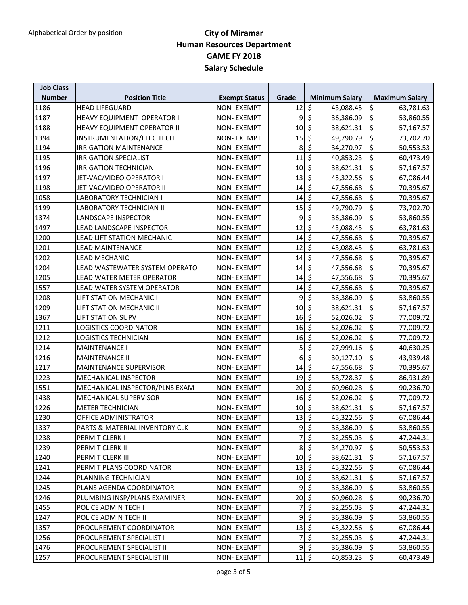| <b>Job Class</b> |                                   |                      |               |                                       |                                       |
|------------------|-----------------------------------|----------------------|---------------|---------------------------------------|---------------------------------------|
| <b>Number</b>    | <b>Position Title</b>             | <b>Exempt Status</b> | Grade         | <b>Minimum Salary</b>                 | <b>Maximum Salary</b>                 |
| 1186             | <b>HEAD LIFEGUARD</b>             | <b>NON-EXEMPT</b>    | 12            | $\zeta$<br>43,088.45                  | \$<br>63,781.63                       |
| 1187             | <b>HEAVY EQUIPMENT OPERATOR I</b> | <b>NON-EXEMPT</b>    | 9             | $\zeta$<br>36,386.09                  | \$<br>53,860.55                       |
| 1188             | HEAVY EQUIPMENT OPERATOR II       | <b>NON-EXEMPT</b>    | 10            | $\zeta$<br>38,621.31                  | $\zeta$<br>57,167.57                  |
| 1394             | INSTRUMENTATION/ELEC TECH         | <b>NON-EXEMPT</b>    | 15            | $\zeta$<br>49,790.79                  | \$<br>73,702.70                       |
| 1194             | <b>IRRIGATION MAINTENANCE</b>     | <b>NON-EXEMPT</b>    | 8             | $\zeta$<br>34,270.97                  | \$<br>50,553.53                       |
| 1195             | <b>IRRIGATION SPECIALIST</b>      | <b>NON-EXEMPT</b>    | 11            | $\zeta$<br>40,853.23                  | \$<br>60,473.49                       |
| 1196             | <b>IRRIGATION TECHNICIAN</b>      | <b>NON-EXEMPT</b>    | 10            | $\zeta$<br>38,621.31                  | \$<br>57,167.57                       |
| 1197             | JET-VAC/VIDEO OPERATOR I          | <b>NON-EXEMPT</b>    | 13            | $\zeta$<br>45,322.56                  | \$<br>67,086.44                       |
| 1198             | JET-VAC/VIDEO OPERATOR II         | <b>NON-EXEMPT</b>    | 14            | $\ddot{\zeta}$<br>47,556.68           | \$<br>70,395.67                       |
| 1058             | <b>LABORATORY TECHNICIAN I</b>    | <b>NON-EXEMPT</b>    | 14            | $\overline{\mathcal{S}}$<br>47,556.68 | \$<br>70,395.67                       |
| 1199             | <b>LABORATORY TECHNICIAN II</b>   | <b>NON-EXEMPT</b>    | 15            | $\zeta$<br>49,790.79                  | \$<br>73,702.70                       |
| 1374             | LANDSCAPE INSPECTOR               | NON-EXEMPT           | 9             | $\zeta$<br>36,386.09                  | \$<br>53,860.55                       |
| 1497             | <b>LEAD LANDSCAPE INSPECTOR</b>   | <b>NON-EXEMPT</b>    | 12            | \$<br>43,088.45                       | \$<br>63,781.63                       |
| 1200             | LEAD LIFT STATION MECHANIC        | <b>NON-EXEMPT</b>    | 14            | $\zeta$<br>47,556.68                  | \$<br>70,395.67                       |
| 1201             | <b>LEAD MAINTENANCE</b>           | <b>NON-EXEMPT</b>    | 12            | $\zeta$<br>43,088.45                  | \$<br>63,781.63                       |
| 1202             | <b>LEAD MECHANIC</b>              | <b>NON-EXEMPT</b>    | 14            | $\zeta$<br>47,556.68                  | \$<br>70,395.67                       |
| 1204             | LEAD WASTEWATER SYSTEM OPERATO    | <b>NON-EXEMPT</b>    | 14            | $\zeta$<br>47,556.68                  | \$<br>70,395.67                       |
| 1205             | LEAD WATER METER OPERATOR         | <b>NON-EXEMPT</b>    | 14            | $\zeta$<br>47,556.68                  | \$<br>70,395.67                       |
| 1557             | LEAD WATER SYSTEM OPERATOR        | <b>NON-EXEMPT</b>    | 14            | $\zeta$<br>47,556.68                  | \$<br>70,395.67                       |
| 1208             | LIFT STATION MECHANIC I           | <b>NON-EXEMPT</b>    | 9             | $\zeta$<br>36,386.09                  | \$<br>53,860.55                       |
| 1209             | LIFT STATION MECHANIC II          | <b>NON-EXEMPT</b>    | 10            | $\zeta$<br>38,621.31                  | \$<br>57,167.57                       |
| 1367             | <b>LIFT STATION SUPV</b>          | <b>NON-EXEMPT</b>    | 16            | $\zeta$<br>52,026.02                  | \$<br>77,009.72                       |
| 1211             | LOGISTICS COORDINATOR             | <b>NON-EXEMPT</b>    | 16            | $\ddot{\phi}$<br>52,026.02            | \$<br>77,009.72                       |
| 1212             | <b>LOGISTICS TECHNICIAN</b>       | <b>NON-EXEMPT</b>    | 16            | $\zeta$<br>52,026.02                  | \$<br>77,009.72                       |
| 1214             | <b>MAINTENANCE I</b>              | <b>NON-EXEMPT</b>    | 5             | $\zeta$<br>27,999.16                  | \$<br>40,630.25                       |
| 1216             | <b>MAINTENANCE II</b>             | <b>NON-EXEMPT</b>    | 6             | $\zeta$<br>30,127.10                  | \$<br>43,939.48                       |
| 1217             | <b>MAINTENANCE SUPERVISOR</b>     | <b>NON-EXEMPT</b>    | 14            | $\overline{\mathcal{S}}$<br>47,556.68 | \$<br>70,395.67                       |
| 1223             | MECHANICAL INSPECTOR              | <b>NON-EXEMPT</b>    | 19            | $\overline{\mathcal{S}}$<br>58,728.37 | $\overline{\mathcal{S}}$<br>86,931.89 |
| 1551             | MECHANICAL INSPECTOR/PLNS EXAM    | NON-EXEMPT           | 20            | \$<br>60,960.28                       | \$<br>90,236.70                       |
| 1438             | MECHANICAL SUPERVISOR             | <b>NON-EXEMPT</b>    | 16            | $\zeta$<br>52,026.02                  | \$<br>77,009.72                       |
| 1226             | <b>METER TECHNICIAN</b>           | <b>NON-EXEMPT</b>    | 10            | $\zeta$<br>38,621.31                  | \$<br>57,167.57                       |
| 1230             | OFFICE ADMINISTRATOR              | <b>NON-EXEMPT</b>    | 13            | $\frac{1}{2}$<br>45,322.56            | \$<br>67,086.44                       |
| $\sqrt{1337}$    | PARTS & MATERIAL INVENTORY CLK    | <b>NON-EXEMPT</b>    |               | 95<br>36,386.09                       | $\overline{\xi}$<br>53,860.55         |
| 1238             | PERMIT CLERK I                    | NON-EXEMPT           | 7             | $\zeta$<br>32,255.03                  | \$<br>47,244.31                       |
| 1239             | PERMIT CLERK II                   | NON-EXEMPT           | 8             | $\zeta$<br>34,270.97                  | \$<br>50,553.53                       |
| 1240             | PERMIT CLERK III                  | NON- EXEMPT          | $10 \mid \xi$ | 38,621.31                             | \$<br>57,167.57                       |
| 1241             | PERMIT PLANS COORDINATOR          | <b>NON-EXEMPT</b>    | $13 \mid \xi$ | 45,322.56                             | \$<br>67,086.44                       |
| 1244             | PLANNING TECHNICIAN               | <b>NON-EXEMPT</b>    | $10 \mid \xi$ | 38,621.31                             | \$<br>57,167.57                       |
| 1245             | PLANS AGENDA COORDINATOR          | NON-EXEMPT           | 9             | $\zeta$<br>36,386.09                  | \$<br>53,860.55                       |
| 1246             | PLUMBING INSP/PLANS EXAMINER      | NON- EXEMPT          | 20            | $\zeta$<br>60,960.28                  | \$<br>90,236.70                       |
| 1455             | POLICE ADMIN TECH I               | <b>NON-EXEMPT</b>    | 7             | $\zeta$<br>32,255.03                  | \$<br>47,244.31                       |
| 1247             | POLICE ADMIN TECH II              | <b>NON-EXEMPT</b>    | 9             | $\zeta$<br>36,386.09                  | $\zeta$<br>53,860.55                  |
| 1357             | PROCUREMENT COORDINATOR           | NON-EXEMPT           | $13 \mid \xi$ | 45,322.56                             | \$<br>67,086.44                       |
| 1256             | PROCUREMENT SPECIALIST I          | <b>NON-EXEMPT</b>    | 7             | $\overline{\mathcal{S}}$<br>32,255.03 | \$<br>47,244.31                       |
| 1476             | PROCUREMENT SPECIALIST II         | <b>NON-EXEMPT</b>    | 9             | $\ddot{\bm{\zeta}}$<br>36,386.09      | \$<br>53,860.55                       |
| 1257             | PROCUREMENT SPECIALIST III        | <b>NON-EXEMPT</b>    | $11 \mid \xi$ | 40,853.23                             | \$<br>60,473.49                       |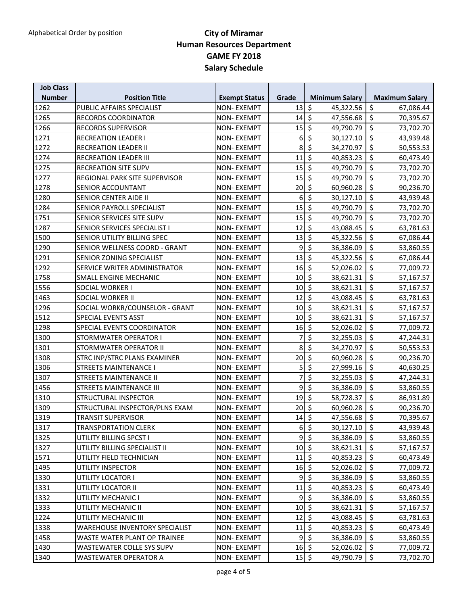| \$<br>\$<br>1262<br>PUBLIC AFFAIRS SPECIALIST<br><b>NON-EXEMPT</b><br>13<br>45,322.56<br>67,086.44<br>$\ddot{\mathsf{s}}$<br>\$<br>1265<br><b>RECORDS COORDINATOR</b><br><b>NON-EXEMPT</b><br>14<br>47,556.68<br>70,395.67<br>$\zeta$<br>\$<br>1266<br>15<br>RECORDS SUPERVISOR<br><b>NON-EXEMPT</b><br>49,790.79<br>73,702.70<br>$\zeta$<br>\$<br>1271<br><b>RECREATION LEADER I</b><br>6<br>30,127.10<br><b>NON-EXEMPT</b><br>43,939.48<br>$\overline{\xi}$<br>\$<br>1272<br>8<br>34,270.97<br><b>RECREATION LEADER II</b><br><b>NON-EXEMPT</b><br>50,553.53<br>$\zeta$<br>\$<br>11<br>1274<br><b>RECREATION LEADER III</b><br><b>NON-EXEMPT</b><br>40,853.23<br>60,473.49<br>\$<br>\$<br>15<br>1275<br><b>RECREATION SITE SUPV</b><br><b>NON-EXEMPT</b><br>49,790.79<br>73,702.70<br>$\zeta$<br>\$<br>1277<br>REGIONAL PARK SITE SUPERVISOR<br>15<br><b>NON-EXEMPT</b><br>49,790.79<br>73,702.70<br>$\overline{\varsigma}$<br>\$<br>20<br>60,960.28<br>1278<br>SENIOR ACCOUNTANT<br><b>NON-EXEMPT</b><br>90,236.70<br>$\overline{\mathcal{S}}$<br>$\zeta$<br>6<br>1280<br>SENIOR CENTER AIDE II<br>30,127.10<br><b>NON-EXEMPT</b><br>43,939.48<br>$\overline{\mathcal{S}}$<br>$\overline{\mathcal{S}}$<br>15<br>1284<br>SENIOR PAYROLL SPECIALIST<br><b>NON-EXEMPT</b><br>49,790.79<br>73,702.70<br>$\zeta$<br>\$<br>15<br>1751<br>SENIOR SERVICES SITE SUPV<br>NON-EXEMPT<br>49,790.79<br>73,702.70<br>$\zeta$<br>\$<br>12<br>1287<br>SENIOR SERVICES SPECIALIST I<br><b>NON-EXEMPT</b><br>43,088.45<br>63,781.63<br>$\zeta$<br>$\zeta$<br>1500<br>SENIOR UTILITY BILLING SPEC<br>13<br>45,322.56<br><b>NON-EXEMPT</b><br>67,086.44<br>$\zeta$<br>\$<br>9<br>1290<br>SENIOR WELLNESS COORD - GRANT<br><b>NON-EXEMPT</b><br>36,386.09<br>53,860.55<br>$\zeta$<br>\$<br>1291<br>13<br>45,322.56<br>SENIOR ZONING SPECIALIST<br><b>NON-EXEMPT</b><br>67,086.44<br>$\ddot{\phi}$<br>\$<br>1292<br>16<br>SERVICE WRITER ADMINISTRATOR<br><b>NON-EXEMPT</b><br>52,026.02<br>77,009.72<br>$\zeta$<br>\$<br>1758<br>10<br><b>SMALL ENGINE MECHANIC</b><br>NON-EXEMPT<br>38,621.31<br>57,167.57<br>$\zeta$<br>\$<br>1556<br>SOCIAL WORKER I<br><b>NON-EXEMPT</b><br>10<br>38,621.31<br>57,167.57<br>$\ddot{\phi}$<br>\$<br>1463<br>12<br><b>SOCIAL WORKER II</b><br><b>NON-EXEMPT</b><br>43,088.45<br>63,781.63<br>$\zeta$<br>\$<br>1296<br>SOCIAL WORKR/COUNSELOR - GRANT<br>10<br>38,621.31<br><b>NON-EXEMPT</b><br>57,167.57<br>$\zeta$<br>\$<br>1512<br>10<br>SPECIAL EVENTS ASST<br><b>NON-EXEMPT</b><br>38,621.31<br>57,167.57<br>\$<br>$\zeta$<br>1298<br>16<br>SPECIAL EVENTS COORDINATOR<br><b>NON-EXEMPT</b><br>52,026.02<br>77,009.72<br>\$<br>\$<br>1300<br>7<br>STORMWATER OPERATOR I<br><b>NON-EXEMPT</b><br>32,255.03<br>47,244.31<br>$\zeta$<br>$\zeta$<br>8<br>1301<br>STORMWATER OPERATOR II<br><b>NON-EXEMPT</b><br>34,270.97<br>50,553.53<br>$\zeta$<br>\$<br>1308<br>20<br>STRC INP/STRC PLANS EXAMINER<br>60,960.28<br><b>NON-EXEMPT</b><br>90,236.70<br>$\overline{\mathcal{S}}$<br>\$<br>5<br>1306<br><b>STREETS MAINTENANCE I</b><br>27,999.16<br><b>NON-EXEMPT</b><br>40,630.25<br>\$<br>\$<br>7<br>1307<br><b>STREETS MAINTENANCE II</b><br>32,255.03<br><b>NON-EXEMPT</b><br>47,244.31<br>\$<br>\$<br>9<br>1456<br>36,386.09<br><b>STREETS MAINTENANCE III</b><br>NON-EXEMPT<br>53,860.55<br>$\zeta$<br>\$<br>19<br>1310<br><b>STRUCTURAL INSPECTOR</b><br><b>NON-EXEMPT</b><br>58,728.37<br>86,931.89<br>$\zeta$<br>$\zeta$<br>1309<br>STRUCTURAL INSPECTOR/PLNS EXAM<br><b>NON-EXEMPT</b><br>20<br>60,960.28<br>90,236.70<br>\$<br>$\zeta$<br>1319<br>14<br>47,556.68<br>70,395.67<br><b>TRANSIT SUPERVISOR</b><br><b>NON-EXEMPT</b><br>1317<br>$6\overline{\smash{5}}$<br>$30,127.10$ \$<br><b>TRANSPORTATION CLERK</b><br><b>NON-EXEMPT</b><br>43,939.48<br>$\overline{9}$<br>$\ddot{\mathsf{S}}$<br>\$<br>1325<br>UTILITY BILLING SPCST I<br><b>NON-EXEMPT</b><br>36,386.09<br>53,860.55<br>$10 \mid \zeta$<br>1327<br>\$<br>UTILITY BILLING SPECIALIST II<br><b>NON-EXEMPT</b><br>38,621.31<br>57,167.57<br>$11\frac{1}{5}$<br>\$<br>1571<br>UTILITY FIELD TECHNICIAN<br><b>NON-EXEMPT</b><br>40,853.23<br>60,473.49<br>$16 \div$<br>\$<br>1495<br>UTILITY INSPECTOR<br>52,026.02<br>NON-EXEMPT<br>77,009.72<br>$9 \mid \xi$<br>\$<br>1330<br>UTILITY LOCATOR I<br>36,386.09<br><b>NON-EXEMPT</b><br>53,860.55<br>$\ddot{\varsigma}$<br>\$<br>11<br>1331<br>UTILITY LOCATOR II<br><b>NON-EXEMPT</b><br>40,853.23<br>60,473.49<br>$\zeta$<br>9<br>\$<br>1332<br>36,386.09<br>UTILITY MECHANIC I<br>NON-EXEMPT<br>53,860.55<br>$10 \mid \xi$<br>\$<br>1333<br>UTILITY MECHANIC II<br><b>NON-EXEMPT</b><br>38,621.31<br>57,167.57<br>\$ ا<br>\$<br>1224<br>12<br>43,088.45<br>UTILITY MECHANIC III<br><b>NON-EXEMPT</b><br>63,781.63<br>$11\frac{1}{5}$<br>$\zeta$<br>1338<br>40,853.23<br><b>WAREHOUSE INVENTORY SPECIALIST</b><br><b>NON-EXEMPT</b><br>60,473.49<br>$\zeta$<br>\$<br>9<br>1458<br>36,386.09<br>WASTE WATER PLANT OP TRAINEE<br>NON-EXEMPT<br>53,860.55<br>$16 \div$<br>\$<br>1430<br>WASTEWATER COLLE SYS SUPV<br>NON-EXEMPT<br>52,026.02<br>77,009.72<br>$15 \mid \zeta$<br>\$<br>1340<br><b>NON-EXEMPT</b><br>49,790.79<br>WASTEWATER OPERATOR A<br>73,702.70 | <b>Job Class</b> |                       |                      |       |                       |                       |
|-------------------------------------------------------------------------------------------------------------------------------------------------------------------------------------------------------------------------------------------------------------------------------------------------------------------------------------------------------------------------------------------------------------------------------------------------------------------------------------------------------------------------------------------------------------------------------------------------------------------------------------------------------------------------------------------------------------------------------------------------------------------------------------------------------------------------------------------------------------------------------------------------------------------------------------------------------------------------------------------------------------------------------------------------------------------------------------------------------------------------------------------------------------------------------------------------------------------------------------------------------------------------------------------------------------------------------------------------------------------------------------------------------------------------------------------------------------------------------------------------------------------------------------------------------------------------------------------------------------------------------------------------------------------------------------------------------------------------------------------------------------------------------------------------------------------------------------------------------------------------------------------------------------------------------------------------------------------------------------------------------------------------------------------------------------------------------------------------------------------------------------------------------------------------------------------------------------------------------------------------------------------------------------------------------------------------------------------------------------------------------------------------------------------------------------------------------------------------------------------------------------------------------------------------------------------------------------------------------------------------------------------------------------------------------------------------------------------------------------------------------------------------------------------------------------------------------------------------------------------------------------------------------------------------------------------------------------------------------------------------------------------------------------------------------------------------------------------------------------------------------------------------------------------------------------------------------------------------------------------------------------------------------------------------------------------------------------------------------------------------------------------------------------------------------------------------------------------------------------------------------------------------------------------------------------------------------------------------------------------------------------------------------------------------------------------------------------------------------------------------------------------------------------------------------------------------------------------------------------------------------------------------------------------------------------------------------------------------------------------------------------------------------------------------------------------------------------------------------------------------------------------------------------------------------------------------------------------------------------------------------------------------------------------------------------------------------------------------------------------------------------------------------------------------------------------------------------------------------------------------------------------------------------------------------------------------------------------------------------------------------------------------------------------------------------------------------------------------------------------------------------------------------------------------------------------------------------------------------------------------------------------------------------------------------------------------------------------------------------------------------------------------------------------------------------------------------------------------------------------------------------------------------------------------------------------------------------|------------------|-----------------------|----------------------|-------|-----------------------|-----------------------|
|                                                                                                                                                                                                                                                                                                                                                                                                                                                                                                                                                                                                                                                                                                                                                                                                                                                                                                                                                                                                                                                                                                                                                                                                                                                                                                                                                                                                                                                                                                                                                                                                                                                                                                                                                                                                                                                                                                                                                                                                                                                                                                                                                                                                                                                                                                                                                                                                                                                                                                                                                                                                                                                                                                                                                                                                                                                                                                                                                                                                                                                                                                                                                                                                                                                                                                                                                                                                                                                                                                                                                                                                                                                                                                                                                                                                                                                                                                                                                                                                                                                                                                                                                                                                                                                                                                                                                                                                                                                                                                                                                                                                                                                                                                                                                                                                                                                                                                                                                                                                                                                                                                                                                                                                             | <b>Number</b>    | <b>Position Title</b> | <b>Exempt Status</b> | Grade | <b>Minimum Salary</b> | <b>Maximum Salary</b> |
|                                                                                                                                                                                                                                                                                                                                                                                                                                                                                                                                                                                                                                                                                                                                                                                                                                                                                                                                                                                                                                                                                                                                                                                                                                                                                                                                                                                                                                                                                                                                                                                                                                                                                                                                                                                                                                                                                                                                                                                                                                                                                                                                                                                                                                                                                                                                                                                                                                                                                                                                                                                                                                                                                                                                                                                                                                                                                                                                                                                                                                                                                                                                                                                                                                                                                                                                                                                                                                                                                                                                                                                                                                                                                                                                                                                                                                                                                                                                                                                                                                                                                                                                                                                                                                                                                                                                                                                                                                                                                                                                                                                                                                                                                                                                                                                                                                                                                                                                                                                                                                                                                                                                                                                                             |                  |                       |                      |       |                       |                       |
|                                                                                                                                                                                                                                                                                                                                                                                                                                                                                                                                                                                                                                                                                                                                                                                                                                                                                                                                                                                                                                                                                                                                                                                                                                                                                                                                                                                                                                                                                                                                                                                                                                                                                                                                                                                                                                                                                                                                                                                                                                                                                                                                                                                                                                                                                                                                                                                                                                                                                                                                                                                                                                                                                                                                                                                                                                                                                                                                                                                                                                                                                                                                                                                                                                                                                                                                                                                                                                                                                                                                                                                                                                                                                                                                                                                                                                                                                                                                                                                                                                                                                                                                                                                                                                                                                                                                                                                                                                                                                                                                                                                                                                                                                                                                                                                                                                                                                                                                                                                                                                                                                                                                                                                                             |                  |                       |                      |       |                       |                       |
|                                                                                                                                                                                                                                                                                                                                                                                                                                                                                                                                                                                                                                                                                                                                                                                                                                                                                                                                                                                                                                                                                                                                                                                                                                                                                                                                                                                                                                                                                                                                                                                                                                                                                                                                                                                                                                                                                                                                                                                                                                                                                                                                                                                                                                                                                                                                                                                                                                                                                                                                                                                                                                                                                                                                                                                                                                                                                                                                                                                                                                                                                                                                                                                                                                                                                                                                                                                                                                                                                                                                                                                                                                                                                                                                                                                                                                                                                                                                                                                                                                                                                                                                                                                                                                                                                                                                                                                                                                                                                                                                                                                                                                                                                                                                                                                                                                                                                                                                                                                                                                                                                                                                                                                                             |                  |                       |                      |       |                       |                       |
|                                                                                                                                                                                                                                                                                                                                                                                                                                                                                                                                                                                                                                                                                                                                                                                                                                                                                                                                                                                                                                                                                                                                                                                                                                                                                                                                                                                                                                                                                                                                                                                                                                                                                                                                                                                                                                                                                                                                                                                                                                                                                                                                                                                                                                                                                                                                                                                                                                                                                                                                                                                                                                                                                                                                                                                                                                                                                                                                                                                                                                                                                                                                                                                                                                                                                                                                                                                                                                                                                                                                                                                                                                                                                                                                                                                                                                                                                                                                                                                                                                                                                                                                                                                                                                                                                                                                                                                                                                                                                                                                                                                                                                                                                                                                                                                                                                                                                                                                                                                                                                                                                                                                                                                                             |                  |                       |                      |       |                       |                       |
|                                                                                                                                                                                                                                                                                                                                                                                                                                                                                                                                                                                                                                                                                                                                                                                                                                                                                                                                                                                                                                                                                                                                                                                                                                                                                                                                                                                                                                                                                                                                                                                                                                                                                                                                                                                                                                                                                                                                                                                                                                                                                                                                                                                                                                                                                                                                                                                                                                                                                                                                                                                                                                                                                                                                                                                                                                                                                                                                                                                                                                                                                                                                                                                                                                                                                                                                                                                                                                                                                                                                                                                                                                                                                                                                                                                                                                                                                                                                                                                                                                                                                                                                                                                                                                                                                                                                                                                                                                                                                                                                                                                                                                                                                                                                                                                                                                                                                                                                                                                                                                                                                                                                                                                                             |                  |                       |                      |       |                       |                       |
|                                                                                                                                                                                                                                                                                                                                                                                                                                                                                                                                                                                                                                                                                                                                                                                                                                                                                                                                                                                                                                                                                                                                                                                                                                                                                                                                                                                                                                                                                                                                                                                                                                                                                                                                                                                                                                                                                                                                                                                                                                                                                                                                                                                                                                                                                                                                                                                                                                                                                                                                                                                                                                                                                                                                                                                                                                                                                                                                                                                                                                                                                                                                                                                                                                                                                                                                                                                                                                                                                                                                                                                                                                                                                                                                                                                                                                                                                                                                                                                                                                                                                                                                                                                                                                                                                                                                                                                                                                                                                                                                                                                                                                                                                                                                                                                                                                                                                                                                                                                                                                                                                                                                                                                                             |                  |                       |                      |       |                       |                       |
|                                                                                                                                                                                                                                                                                                                                                                                                                                                                                                                                                                                                                                                                                                                                                                                                                                                                                                                                                                                                                                                                                                                                                                                                                                                                                                                                                                                                                                                                                                                                                                                                                                                                                                                                                                                                                                                                                                                                                                                                                                                                                                                                                                                                                                                                                                                                                                                                                                                                                                                                                                                                                                                                                                                                                                                                                                                                                                                                                                                                                                                                                                                                                                                                                                                                                                                                                                                                                                                                                                                                                                                                                                                                                                                                                                                                                                                                                                                                                                                                                                                                                                                                                                                                                                                                                                                                                                                                                                                                                                                                                                                                                                                                                                                                                                                                                                                                                                                                                                                                                                                                                                                                                                                                             |                  |                       |                      |       |                       |                       |
|                                                                                                                                                                                                                                                                                                                                                                                                                                                                                                                                                                                                                                                                                                                                                                                                                                                                                                                                                                                                                                                                                                                                                                                                                                                                                                                                                                                                                                                                                                                                                                                                                                                                                                                                                                                                                                                                                                                                                                                                                                                                                                                                                                                                                                                                                                                                                                                                                                                                                                                                                                                                                                                                                                                                                                                                                                                                                                                                                                                                                                                                                                                                                                                                                                                                                                                                                                                                                                                                                                                                                                                                                                                                                                                                                                                                                                                                                                                                                                                                                                                                                                                                                                                                                                                                                                                                                                                                                                                                                                                                                                                                                                                                                                                                                                                                                                                                                                                                                                                                                                                                                                                                                                                                             |                  |                       |                      |       |                       |                       |
|                                                                                                                                                                                                                                                                                                                                                                                                                                                                                                                                                                                                                                                                                                                                                                                                                                                                                                                                                                                                                                                                                                                                                                                                                                                                                                                                                                                                                                                                                                                                                                                                                                                                                                                                                                                                                                                                                                                                                                                                                                                                                                                                                                                                                                                                                                                                                                                                                                                                                                                                                                                                                                                                                                                                                                                                                                                                                                                                                                                                                                                                                                                                                                                                                                                                                                                                                                                                                                                                                                                                                                                                                                                                                                                                                                                                                                                                                                                                                                                                                                                                                                                                                                                                                                                                                                                                                                                                                                                                                                                                                                                                                                                                                                                                                                                                                                                                                                                                                                                                                                                                                                                                                                                                             |                  |                       |                      |       |                       |                       |
|                                                                                                                                                                                                                                                                                                                                                                                                                                                                                                                                                                                                                                                                                                                                                                                                                                                                                                                                                                                                                                                                                                                                                                                                                                                                                                                                                                                                                                                                                                                                                                                                                                                                                                                                                                                                                                                                                                                                                                                                                                                                                                                                                                                                                                                                                                                                                                                                                                                                                                                                                                                                                                                                                                                                                                                                                                                                                                                                                                                                                                                                                                                                                                                                                                                                                                                                                                                                                                                                                                                                                                                                                                                                                                                                                                                                                                                                                                                                                                                                                                                                                                                                                                                                                                                                                                                                                                                                                                                                                                                                                                                                                                                                                                                                                                                                                                                                                                                                                                                                                                                                                                                                                                                                             |                  |                       |                      |       |                       |                       |
|                                                                                                                                                                                                                                                                                                                                                                                                                                                                                                                                                                                                                                                                                                                                                                                                                                                                                                                                                                                                                                                                                                                                                                                                                                                                                                                                                                                                                                                                                                                                                                                                                                                                                                                                                                                                                                                                                                                                                                                                                                                                                                                                                                                                                                                                                                                                                                                                                                                                                                                                                                                                                                                                                                                                                                                                                                                                                                                                                                                                                                                                                                                                                                                                                                                                                                                                                                                                                                                                                                                                                                                                                                                                                                                                                                                                                                                                                                                                                                                                                                                                                                                                                                                                                                                                                                                                                                                                                                                                                                                                                                                                                                                                                                                                                                                                                                                                                                                                                                                                                                                                                                                                                                                                             |                  |                       |                      |       |                       |                       |
|                                                                                                                                                                                                                                                                                                                                                                                                                                                                                                                                                                                                                                                                                                                                                                                                                                                                                                                                                                                                                                                                                                                                                                                                                                                                                                                                                                                                                                                                                                                                                                                                                                                                                                                                                                                                                                                                                                                                                                                                                                                                                                                                                                                                                                                                                                                                                                                                                                                                                                                                                                                                                                                                                                                                                                                                                                                                                                                                                                                                                                                                                                                                                                                                                                                                                                                                                                                                                                                                                                                                                                                                                                                                                                                                                                                                                                                                                                                                                                                                                                                                                                                                                                                                                                                                                                                                                                                                                                                                                                                                                                                                                                                                                                                                                                                                                                                                                                                                                                                                                                                                                                                                                                                                             |                  |                       |                      |       |                       |                       |
|                                                                                                                                                                                                                                                                                                                                                                                                                                                                                                                                                                                                                                                                                                                                                                                                                                                                                                                                                                                                                                                                                                                                                                                                                                                                                                                                                                                                                                                                                                                                                                                                                                                                                                                                                                                                                                                                                                                                                                                                                                                                                                                                                                                                                                                                                                                                                                                                                                                                                                                                                                                                                                                                                                                                                                                                                                                                                                                                                                                                                                                                                                                                                                                                                                                                                                                                                                                                                                                                                                                                                                                                                                                                                                                                                                                                                                                                                                                                                                                                                                                                                                                                                                                                                                                                                                                                                                                                                                                                                                                                                                                                                                                                                                                                                                                                                                                                                                                                                                                                                                                                                                                                                                                                             |                  |                       |                      |       |                       |                       |
|                                                                                                                                                                                                                                                                                                                                                                                                                                                                                                                                                                                                                                                                                                                                                                                                                                                                                                                                                                                                                                                                                                                                                                                                                                                                                                                                                                                                                                                                                                                                                                                                                                                                                                                                                                                                                                                                                                                                                                                                                                                                                                                                                                                                                                                                                                                                                                                                                                                                                                                                                                                                                                                                                                                                                                                                                                                                                                                                                                                                                                                                                                                                                                                                                                                                                                                                                                                                                                                                                                                                                                                                                                                                                                                                                                                                                                                                                                                                                                                                                                                                                                                                                                                                                                                                                                                                                                                                                                                                                                                                                                                                                                                                                                                                                                                                                                                                                                                                                                                                                                                                                                                                                                                                             |                  |                       |                      |       |                       |                       |
|                                                                                                                                                                                                                                                                                                                                                                                                                                                                                                                                                                                                                                                                                                                                                                                                                                                                                                                                                                                                                                                                                                                                                                                                                                                                                                                                                                                                                                                                                                                                                                                                                                                                                                                                                                                                                                                                                                                                                                                                                                                                                                                                                                                                                                                                                                                                                                                                                                                                                                                                                                                                                                                                                                                                                                                                                                                                                                                                                                                                                                                                                                                                                                                                                                                                                                                                                                                                                                                                                                                                                                                                                                                                                                                                                                                                                                                                                                                                                                                                                                                                                                                                                                                                                                                                                                                                                                                                                                                                                                                                                                                                                                                                                                                                                                                                                                                                                                                                                                                                                                                                                                                                                                                                             |                  |                       |                      |       |                       |                       |
|                                                                                                                                                                                                                                                                                                                                                                                                                                                                                                                                                                                                                                                                                                                                                                                                                                                                                                                                                                                                                                                                                                                                                                                                                                                                                                                                                                                                                                                                                                                                                                                                                                                                                                                                                                                                                                                                                                                                                                                                                                                                                                                                                                                                                                                                                                                                                                                                                                                                                                                                                                                                                                                                                                                                                                                                                                                                                                                                                                                                                                                                                                                                                                                                                                                                                                                                                                                                                                                                                                                                                                                                                                                                                                                                                                                                                                                                                                                                                                                                                                                                                                                                                                                                                                                                                                                                                                                                                                                                                                                                                                                                                                                                                                                                                                                                                                                                                                                                                                                                                                                                                                                                                                                                             |                  |                       |                      |       |                       |                       |
|                                                                                                                                                                                                                                                                                                                                                                                                                                                                                                                                                                                                                                                                                                                                                                                                                                                                                                                                                                                                                                                                                                                                                                                                                                                                                                                                                                                                                                                                                                                                                                                                                                                                                                                                                                                                                                                                                                                                                                                                                                                                                                                                                                                                                                                                                                                                                                                                                                                                                                                                                                                                                                                                                                                                                                                                                                                                                                                                                                                                                                                                                                                                                                                                                                                                                                                                                                                                                                                                                                                                                                                                                                                                                                                                                                                                                                                                                                                                                                                                                                                                                                                                                                                                                                                                                                                                                                                                                                                                                                                                                                                                                                                                                                                                                                                                                                                                                                                                                                                                                                                                                                                                                                                                             |                  |                       |                      |       |                       |                       |
|                                                                                                                                                                                                                                                                                                                                                                                                                                                                                                                                                                                                                                                                                                                                                                                                                                                                                                                                                                                                                                                                                                                                                                                                                                                                                                                                                                                                                                                                                                                                                                                                                                                                                                                                                                                                                                                                                                                                                                                                                                                                                                                                                                                                                                                                                                                                                                                                                                                                                                                                                                                                                                                                                                                                                                                                                                                                                                                                                                                                                                                                                                                                                                                                                                                                                                                                                                                                                                                                                                                                                                                                                                                                                                                                                                                                                                                                                                                                                                                                                                                                                                                                                                                                                                                                                                                                                                                                                                                                                                                                                                                                                                                                                                                                                                                                                                                                                                                                                                                                                                                                                                                                                                                                             |                  |                       |                      |       |                       |                       |
|                                                                                                                                                                                                                                                                                                                                                                                                                                                                                                                                                                                                                                                                                                                                                                                                                                                                                                                                                                                                                                                                                                                                                                                                                                                                                                                                                                                                                                                                                                                                                                                                                                                                                                                                                                                                                                                                                                                                                                                                                                                                                                                                                                                                                                                                                                                                                                                                                                                                                                                                                                                                                                                                                                                                                                                                                                                                                                                                                                                                                                                                                                                                                                                                                                                                                                                                                                                                                                                                                                                                                                                                                                                                                                                                                                                                                                                                                                                                                                                                                                                                                                                                                                                                                                                                                                                                                                                                                                                                                                                                                                                                                                                                                                                                                                                                                                                                                                                                                                                                                                                                                                                                                                                                             |                  |                       |                      |       |                       |                       |
|                                                                                                                                                                                                                                                                                                                                                                                                                                                                                                                                                                                                                                                                                                                                                                                                                                                                                                                                                                                                                                                                                                                                                                                                                                                                                                                                                                                                                                                                                                                                                                                                                                                                                                                                                                                                                                                                                                                                                                                                                                                                                                                                                                                                                                                                                                                                                                                                                                                                                                                                                                                                                                                                                                                                                                                                                                                                                                                                                                                                                                                                                                                                                                                                                                                                                                                                                                                                                                                                                                                                                                                                                                                                                                                                                                                                                                                                                                                                                                                                                                                                                                                                                                                                                                                                                                                                                                                                                                                                                                                                                                                                                                                                                                                                                                                                                                                                                                                                                                                                                                                                                                                                                                                                             |                  |                       |                      |       |                       |                       |
|                                                                                                                                                                                                                                                                                                                                                                                                                                                                                                                                                                                                                                                                                                                                                                                                                                                                                                                                                                                                                                                                                                                                                                                                                                                                                                                                                                                                                                                                                                                                                                                                                                                                                                                                                                                                                                                                                                                                                                                                                                                                                                                                                                                                                                                                                                                                                                                                                                                                                                                                                                                                                                                                                                                                                                                                                                                                                                                                                                                                                                                                                                                                                                                                                                                                                                                                                                                                                                                                                                                                                                                                                                                                                                                                                                                                                                                                                                                                                                                                                                                                                                                                                                                                                                                                                                                                                                                                                                                                                                                                                                                                                                                                                                                                                                                                                                                                                                                                                                                                                                                                                                                                                                                                             |                  |                       |                      |       |                       |                       |
|                                                                                                                                                                                                                                                                                                                                                                                                                                                                                                                                                                                                                                                                                                                                                                                                                                                                                                                                                                                                                                                                                                                                                                                                                                                                                                                                                                                                                                                                                                                                                                                                                                                                                                                                                                                                                                                                                                                                                                                                                                                                                                                                                                                                                                                                                                                                                                                                                                                                                                                                                                                                                                                                                                                                                                                                                                                                                                                                                                                                                                                                                                                                                                                                                                                                                                                                                                                                                                                                                                                                                                                                                                                                                                                                                                                                                                                                                                                                                                                                                                                                                                                                                                                                                                                                                                                                                                                                                                                                                                                                                                                                                                                                                                                                                                                                                                                                                                                                                                                                                                                                                                                                                                                                             |                  |                       |                      |       |                       |                       |
|                                                                                                                                                                                                                                                                                                                                                                                                                                                                                                                                                                                                                                                                                                                                                                                                                                                                                                                                                                                                                                                                                                                                                                                                                                                                                                                                                                                                                                                                                                                                                                                                                                                                                                                                                                                                                                                                                                                                                                                                                                                                                                                                                                                                                                                                                                                                                                                                                                                                                                                                                                                                                                                                                                                                                                                                                                                                                                                                                                                                                                                                                                                                                                                                                                                                                                                                                                                                                                                                                                                                                                                                                                                                                                                                                                                                                                                                                                                                                                                                                                                                                                                                                                                                                                                                                                                                                                                                                                                                                                                                                                                                                                                                                                                                                                                                                                                                                                                                                                                                                                                                                                                                                                                                             |                  |                       |                      |       |                       |                       |
|                                                                                                                                                                                                                                                                                                                                                                                                                                                                                                                                                                                                                                                                                                                                                                                                                                                                                                                                                                                                                                                                                                                                                                                                                                                                                                                                                                                                                                                                                                                                                                                                                                                                                                                                                                                                                                                                                                                                                                                                                                                                                                                                                                                                                                                                                                                                                                                                                                                                                                                                                                                                                                                                                                                                                                                                                                                                                                                                                                                                                                                                                                                                                                                                                                                                                                                                                                                                                                                                                                                                                                                                                                                                                                                                                                                                                                                                                                                                                                                                                                                                                                                                                                                                                                                                                                                                                                                                                                                                                                                                                                                                                                                                                                                                                                                                                                                                                                                                                                                                                                                                                                                                                                                                             |                  |                       |                      |       |                       |                       |
|                                                                                                                                                                                                                                                                                                                                                                                                                                                                                                                                                                                                                                                                                                                                                                                                                                                                                                                                                                                                                                                                                                                                                                                                                                                                                                                                                                                                                                                                                                                                                                                                                                                                                                                                                                                                                                                                                                                                                                                                                                                                                                                                                                                                                                                                                                                                                                                                                                                                                                                                                                                                                                                                                                                                                                                                                                                                                                                                                                                                                                                                                                                                                                                                                                                                                                                                                                                                                                                                                                                                                                                                                                                                                                                                                                                                                                                                                                                                                                                                                                                                                                                                                                                                                                                                                                                                                                                                                                                                                                                                                                                                                                                                                                                                                                                                                                                                                                                                                                                                                                                                                                                                                                                                             |                  |                       |                      |       |                       |                       |
|                                                                                                                                                                                                                                                                                                                                                                                                                                                                                                                                                                                                                                                                                                                                                                                                                                                                                                                                                                                                                                                                                                                                                                                                                                                                                                                                                                                                                                                                                                                                                                                                                                                                                                                                                                                                                                                                                                                                                                                                                                                                                                                                                                                                                                                                                                                                                                                                                                                                                                                                                                                                                                                                                                                                                                                                                                                                                                                                                                                                                                                                                                                                                                                                                                                                                                                                                                                                                                                                                                                                                                                                                                                                                                                                                                                                                                                                                                                                                                                                                                                                                                                                                                                                                                                                                                                                                                                                                                                                                                                                                                                                                                                                                                                                                                                                                                                                                                                                                                                                                                                                                                                                                                                                             |                  |                       |                      |       |                       |                       |
|                                                                                                                                                                                                                                                                                                                                                                                                                                                                                                                                                                                                                                                                                                                                                                                                                                                                                                                                                                                                                                                                                                                                                                                                                                                                                                                                                                                                                                                                                                                                                                                                                                                                                                                                                                                                                                                                                                                                                                                                                                                                                                                                                                                                                                                                                                                                                                                                                                                                                                                                                                                                                                                                                                                                                                                                                                                                                                                                                                                                                                                                                                                                                                                                                                                                                                                                                                                                                                                                                                                                                                                                                                                                                                                                                                                                                                                                                                                                                                                                                                                                                                                                                                                                                                                                                                                                                                                                                                                                                                                                                                                                                                                                                                                                                                                                                                                                                                                                                                                                                                                                                                                                                                                                             |                  |                       |                      |       |                       |                       |
|                                                                                                                                                                                                                                                                                                                                                                                                                                                                                                                                                                                                                                                                                                                                                                                                                                                                                                                                                                                                                                                                                                                                                                                                                                                                                                                                                                                                                                                                                                                                                                                                                                                                                                                                                                                                                                                                                                                                                                                                                                                                                                                                                                                                                                                                                                                                                                                                                                                                                                                                                                                                                                                                                                                                                                                                                                                                                                                                                                                                                                                                                                                                                                                                                                                                                                                                                                                                                                                                                                                                                                                                                                                                                                                                                                                                                                                                                                                                                                                                                                                                                                                                                                                                                                                                                                                                                                                                                                                                                                                                                                                                                                                                                                                                                                                                                                                                                                                                                                                                                                                                                                                                                                                                             |                  |                       |                      |       |                       |                       |
|                                                                                                                                                                                                                                                                                                                                                                                                                                                                                                                                                                                                                                                                                                                                                                                                                                                                                                                                                                                                                                                                                                                                                                                                                                                                                                                                                                                                                                                                                                                                                                                                                                                                                                                                                                                                                                                                                                                                                                                                                                                                                                                                                                                                                                                                                                                                                                                                                                                                                                                                                                                                                                                                                                                                                                                                                                                                                                                                                                                                                                                                                                                                                                                                                                                                                                                                                                                                                                                                                                                                                                                                                                                                                                                                                                                                                                                                                                                                                                                                                                                                                                                                                                                                                                                                                                                                                                                                                                                                                                                                                                                                                                                                                                                                                                                                                                                                                                                                                                                                                                                                                                                                                                                                             |                  |                       |                      |       |                       |                       |
|                                                                                                                                                                                                                                                                                                                                                                                                                                                                                                                                                                                                                                                                                                                                                                                                                                                                                                                                                                                                                                                                                                                                                                                                                                                                                                                                                                                                                                                                                                                                                                                                                                                                                                                                                                                                                                                                                                                                                                                                                                                                                                                                                                                                                                                                                                                                                                                                                                                                                                                                                                                                                                                                                                                                                                                                                                                                                                                                                                                                                                                                                                                                                                                                                                                                                                                                                                                                                                                                                                                                                                                                                                                                                                                                                                                                                                                                                                                                                                                                                                                                                                                                                                                                                                                                                                                                                                                                                                                                                                                                                                                                                                                                                                                                                                                                                                                                                                                                                                                                                                                                                                                                                                                                             |                  |                       |                      |       |                       |                       |
|                                                                                                                                                                                                                                                                                                                                                                                                                                                                                                                                                                                                                                                                                                                                                                                                                                                                                                                                                                                                                                                                                                                                                                                                                                                                                                                                                                                                                                                                                                                                                                                                                                                                                                                                                                                                                                                                                                                                                                                                                                                                                                                                                                                                                                                                                                                                                                                                                                                                                                                                                                                                                                                                                                                                                                                                                                                                                                                                                                                                                                                                                                                                                                                                                                                                                                                                                                                                                                                                                                                                                                                                                                                                                                                                                                                                                                                                                                                                                                                                                                                                                                                                                                                                                                                                                                                                                                                                                                                                                                                                                                                                                                                                                                                                                                                                                                                                                                                                                                                                                                                                                                                                                                                                             |                  |                       |                      |       |                       |                       |
|                                                                                                                                                                                                                                                                                                                                                                                                                                                                                                                                                                                                                                                                                                                                                                                                                                                                                                                                                                                                                                                                                                                                                                                                                                                                                                                                                                                                                                                                                                                                                                                                                                                                                                                                                                                                                                                                                                                                                                                                                                                                                                                                                                                                                                                                                                                                                                                                                                                                                                                                                                                                                                                                                                                                                                                                                                                                                                                                                                                                                                                                                                                                                                                                                                                                                                                                                                                                                                                                                                                                                                                                                                                                                                                                                                                                                                                                                                                                                                                                                                                                                                                                                                                                                                                                                                                                                                                                                                                                                                                                                                                                                                                                                                                                                                                                                                                                                                                                                                                                                                                                                                                                                                                                             |                  |                       |                      |       |                       |                       |
|                                                                                                                                                                                                                                                                                                                                                                                                                                                                                                                                                                                                                                                                                                                                                                                                                                                                                                                                                                                                                                                                                                                                                                                                                                                                                                                                                                                                                                                                                                                                                                                                                                                                                                                                                                                                                                                                                                                                                                                                                                                                                                                                                                                                                                                                                                                                                                                                                                                                                                                                                                                                                                                                                                                                                                                                                                                                                                                                                                                                                                                                                                                                                                                                                                                                                                                                                                                                                                                                                                                                                                                                                                                                                                                                                                                                                                                                                                                                                                                                                                                                                                                                                                                                                                                                                                                                                                                                                                                                                                                                                                                                                                                                                                                                                                                                                                                                                                                                                                                                                                                                                                                                                                                                             |                  |                       |                      |       |                       |                       |
|                                                                                                                                                                                                                                                                                                                                                                                                                                                                                                                                                                                                                                                                                                                                                                                                                                                                                                                                                                                                                                                                                                                                                                                                                                                                                                                                                                                                                                                                                                                                                                                                                                                                                                                                                                                                                                                                                                                                                                                                                                                                                                                                                                                                                                                                                                                                                                                                                                                                                                                                                                                                                                                                                                                                                                                                                                                                                                                                                                                                                                                                                                                                                                                                                                                                                                                                                                                                                                                                                                                                                                                                                                                                                                                                                                                                                                                                                                                                                                                                                                                                                                                                                                                                                                                                                                                                                                                                                                                                                                                                                                                                                                                                                                                                                                                                                                                                                                                                                                                                                                                                                                                                                                                                             |                  |                       |                      |       |                       |                       |
|                                                                                                                                                                                                                                                                                                                                                                                                                                                                                                                                                                                                                                                                                                                                                                                                                                                                                                                                                                                                                                                                                                                                                                                                                                                                                                                                                                                                                                                                                                                                                                                                                                                                                                                                                                                                                                                                                                                                                                                                                                                                                                                                                                                                                                                                                                                                                                                                                                                                                                                                                                                                                                                                                                                                                                                                                                                                                                                                                                                                                                                                                                                                                                                                                                                                                                                                                                                                                                                                                                                                                                                                                                                                                                                                                                                                                                                                                                                                                                                                                                                                                                                                                                                                                                                                                                                                                                                                                                                                                                                                                                                                                                                                                                                                                                                                                                                                                                                                                                                                                                                                                                                                                                                                             |                  |                       |                      |       |                       |                       |
|                                                                                                                                                                                                                                                                                                                                                                                                                                                                                                                                                                                                                                                                                                                                                                                                                                                                                                                                                                                                                                                                                                                                                                                                                                                                                                                                                                                                                                                                                                                                                                                                                                                                                                                                                                                                                                                                                                                                                                                                                                                                                                                                                                                                                                                                                                                                                                                                                                                                                                                                                                                                                                                                                                                                                                                                                                                                                                                                                                                                                                                                                                                                                                                                                                                                                                                                                                                                                                                                                                                                                                                                                                                                                                                                                                                                                                                                                                                                                                                                                                                                                                                                                                                                                                                                                                                                                                                                                                                                                                                                                                                                                                                                                                                                                                                                                                                                                                                                                                                                                                                                                                                                                                                                             |                  |                       |                      |       |                       |                       |
|                                                                                                                                                                                                                                                                                                                                                                                                                                                                                                                                                                                                                                                                                                                                                                                                                                                                                                                                                                                                                                                                                                                                                                                                                                                                                                                                                                                                                                                                                                                                                                                                                                                                                                                                                                                                                                                                                                                                                                                                                                                                                                                                                                                                                                                                                                                                                                                                                                                                                                                                                                                                                                                                                                                                                                                                                                                                                                                                                                                                                                                                                                                                                                                                                                                                                                                                                                                                                                                                                                                                                                                                                                                                                                                                                                                                                                                                                                                                                                                                                                                                                                                                                                                                                                                                                                                                                                                                                                                                                                                                                                                                                                                                                                                                                                                                                                                                                                                                                                                                                                                                                                                                                                                                             |                  |                       |                      |       |                       |                       |
|                                                                                                                                                                                                                                                                                                                                                                                                                                                                                                                                                                                                                                                                                                                                                                                                                                                                                                                                                                                                                                                                                                                                                                                                                                                                                                                                                                                                                                                                                                                                                                                                                                                                                                                                                                                                                                                                                                                                                                                                                                                                                                                                                                                                                                                                                                                                                                                                                                                                                                                                                                                                                                                                                                                                                                                                                                                                                                                                                                                                                                                                                                                                                                                                                                                                                                                                                                                                                                                                                                                                                                                                                                                                                                                                                                                                                                                                                                                                                                                                                                                                                                                                                                                                                                                                                                                                                                                                                                                                                                                                                                                                                                                                                                                                                                                                                                                                                                                                                                                                                                                                                                                                                                                                             |                  |                       |                      |       |                       |                       |
|                                                                                                                                                                                                                                                                                                                                                                                                                                                                                                                                                                                                                                                                                                                                                                                                                                                                                                                                                                                                                                                                                                                                                                                                                                                                                                                                                                                                                                                                                                                                                                                                                                                                                                                                                                                                                                                                                                                                                                                                                                                                                                                                                                                                                                                                                                                                                                                                                                                                                                                                                                                                                                                                                                                                                                                                                                                                                                                                                                                                                                                                                                                                                                                                                                                                                                                                                                                                                                                                                                                                                                                                                                                                                                                                                                                                                                                                                                                                                                                                                                                                                                                                                                                                                                                                                                                                                                                                                                                                                                                                                                                                                                                                                                                                                                                                                                                                                                                                                                                                                                                                                                                                                                                                             |                  |                       |                      |       |                       |                       |
|                                                                                                                                                                                                                                                                                                                                                                                                                                                                                                                                                                                                                                                                                                                                                                                                                                                                                                                                                                                                                                                                                                                                                                                                                                                                                                                                                                                                                                                                                                                                                                                                                                                                                                                                                                                                                                                                                                                                                                                                                                                                                                                                                                                                                                                                                                                                                                                                                                                                                                                                                                                                                                                                                                                                                                                                                                                                                                                                                                                                                                                                                                                                                                                                                                                                                                                                                                                                                                                                                                                                                                                                                                                                                                                                                                                                                                                                                                                                                                                                                                                                                                                                                                                                                                                                                                                                                                                                                                                                                                                                                                                                                                                                                                                                                                                                                                                                                                                                                                                                                                                                                                                                                                                                             |                  |                       |                      |       |                       |                       |
|                                                                                                                                                                                                                                                                                                                                                                                                                                                                                                                                                                                                                                                                                                                                                                                                                                                                                                                                                                                                                                                                                                                                                                                                                                                                                                                                                                                                                                                                                                                                                                                                                                                                                                                                                                                                                                                                                                                                                                                                                                                                                                                                                                                                                                                                                                                                                                                                                                                                                                                                                                                                                                                                                                                                                                                                                                                                                                                                                                                                                                                                                                                                                                                                                                                                                                                                                                                                                                                                                                                                                                                                                                                                                                                                                                                                                                                                                                                                                                                                                                                                                                                                                                                                                                                                                                                                                                                                                                                                                                                                                                                                                                                                                                                                                                                                                                                                                                                                                                                                                                                                                                                                                                                                             |                  |                       |                      |       |                       |                       |
|                                                                                                                                                                                                                                                                                                                                                                                                                                                                                                                                                                                                                                                                                                                                                                                                                                                                                                                                                                                                                                                                                                                                                                                                                                                                                                                                                                                                                                                                                                                                                                                                                                                                                                                                                                                                                                                                                                                                                                                                                                                                                                                                                                                                                                                                                                                                                                                                                                                                                                                                                                                                                                                                                                                                                                                                                                                                                                                                                                                                                                                                                                                                                                                                                                                                                                                                                                                                                                                                                                                                                                                                                                                                                                                                                                                                                                                                                                                                                                                                                                                                                                                                                                                                                                                                                                                                                                                                                                                                                                                                                                                                                                                                                                                                                                                                                                                                                                                                                                                                                                                                                                                                                                                                             |                  |                       |                      |       |                       |                       |
|                                                                                                                                                                                                                                                                                                                                                                                                                                                                                                                                                                                                                                                                                                                                                                                                                                                                                                                                                                                                                                                                                                                                                                                                                                                                                                                                                                                                                                                                                                                                                                                                                                                                                                                                                                                                                                                                                                                                                                                                                                                                                                                                                                                                                                                                                                                                                                                                                                                                                                                                                                                                                                                                                                                                                                                                                                                                                                                                                                                                                                                                                                                                                                                                                                                                                                                                                                                                                                                                                                                                                                                                                                                                                                                                                                                                                                                                                                                                                                                                                                                                                                                                                                                                                                                                                                                                                                                                                                                                                                                                                                                                                                                                                                                                                                                                                                                                                                                                                                                                                                                                                                                                                                                                             |                  |                       |                      |       |                       |                       |
|                                                                                                                                                                                                                                                                                                                                                                                                                                                                                                                                                                                                                                                                                                                                                                                                                                                                                                                                                                                                                                                                                                                                                                                                                                                                                                                                                                                                                                                                                                                                                                                                                                                                                                                                                                                                                                                                                                                                                                                                                                                                                                                                                                                                                                                                                                                                                                                                                                                                                                                                                                                                                                                                                                                                                                                                                                                                                                                                                                                                                                                                                                                                                                                                                                                                                                                                                                                                                                                                                                                                                                                                                                                                                                                                                                                                                                                                                                                                                                                                                                                                                                                                                                                                                                                                                                                                                                                                                                                                                                                                                                                                                                                                                                                                                                                                                                                                                                                                                                                                                                                                                                                                                                                                             |                  |                       |                      |       |                       |                       |
|                                                                                                                                                                                                                                                                                                                                                                                                                                                                                                                                                                                                                                                                                                                                                                                                                                                                                                                                                                                                                                                                                                                                                                                                                                                                                                                                                                                                                                                                                                                                                                                                                                                                                                                                                                                                                                                                                                                                                                                                                                                                                                                                                                                                                                                                                                                                                                                                                                                                                                                                                                                                                                                                                                                                                                                                                                                                                                                                                                                                                                                                                                                                                                                                                                                                                                                                                                                                                                                                                                                                                                                                                                                                                                                                                                                                                                                                                                                                                                                                                                                                                                                                                                                                                                                                                                                                                                                                                                                                                                                                                                                                                                                                                                                                                                                                                                                                                                                                                                                                                                                                                                                                                                                                             |                  |                       |                      |       |                       |                       |
|                                                                                                                                                                                                                                                                                                                                                                                                                                                                                                                                                                                                                                                                                                                                                                                                                                                                                                                                                                                                                                                                                                                                                                                                                                                                                                                                                                                                                                                                                                                                                                                                                                                                                                                                                                                                                                                                                                                                                                                                                                                                                                                                                                                                                                                                                                                                                                                                                                                                                                                                                                                                                                                                                                                                                                                                                                                                                                                                                                                                                                                                                                                                                                                                                                                                                                                                                                                                                                                                                                                                                                                                                                                                                                                                                                                                                                                                                                                                                                                                                                                                                                                                                                                                                                                                                                                                                                                                                                                                                                                                                                                                                                                                                                                                                                                                                                                                                                                                                                                                                                                                                                                                                                                                             |                  |                       |                      |       |                       |                       |